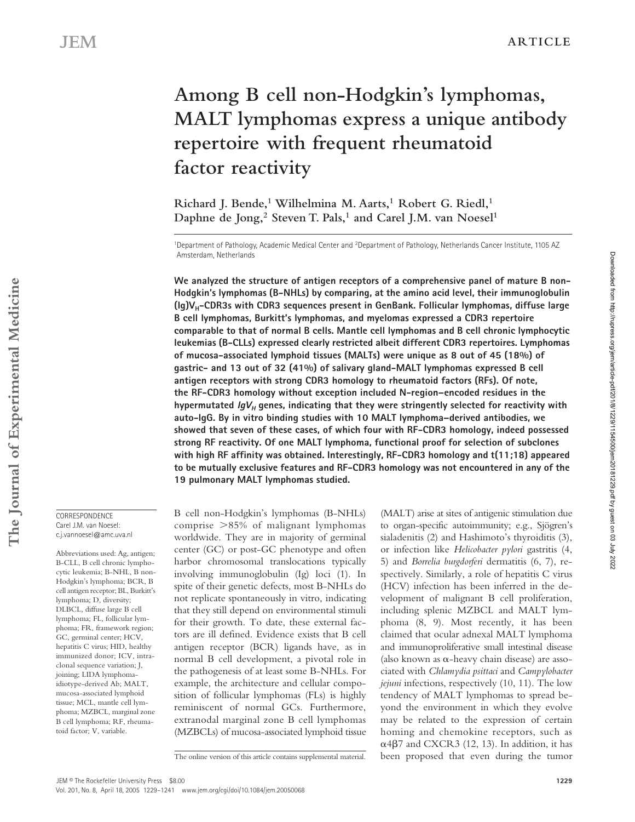# **Among B cell non-Hodgkin's lymphomas, MALT lymphomas express a unique antibody repertoire with frequent rheumatoid factor reactivity**

**Richard J. Bende,1 Wilhelmina M. Aarts,1 Robert G. Riedl,1**  Daphne de Jong,<sup>2</sup> Steven T. Pals,<sup>1</sup> and Carel J.M. van Noesel<sup>1</sup>

1Department of Pathology, Academic Medical Center and 2Department of Pathology, Netherlands Cancer Institute, 1105 AZ Amsterdam, Netherlands

**We analyzed the structure of antigen receptors of a comprehensive panel of mature B non-Hodgkin's lymphomas (B-NHLs) by comparing, at the amino acid level, their immunoglobulin (Ig)VH-CDR3s with CDR3 sequences present in GenBank. Follicular lymphomas, diffuse large B cell lymphomas, Burkitt's lymphomas, and myelomas expressed a CDR3 repertoire comparable to that of normal B cells. Mantle cell lymphomas and B cell chronic lymphocytic leukemias (B-CLLs) expressed clearly restricted albeit different CDR3 repertoires. Lymphomas of mucosa-associated lymphoid tissues (MALTs) were unique as 8 out of 45 (18%) of gastric- and 13 out of 32 (41%) of salivary gland-MALT lymphomas expressed B cell antigen receptors with strong CDR3 homology to rheumatoid factors (RFs). Of note, the RF-CDR3 homology without exception included N-region–encoded residues in the**  hypermutated  $IgV_H$  genes, indicating that they were stringently selected for reactivity with **auto-IgG. By in vitro binding studies with 10 MALT lymphoma–derived antibodies, we showed that seven of these cases, of which four with RF-CDR3 homology, indeed possessed strong RF reactivity. Of one MALT lymphoma, functional proof for selection of subclones with high RF affinity was obtained. Interestingly, RF-CDR3 homology and t(11;18) appeared to be mutually exclusive features and RF-CDR3 homology was not encountered in any of the 19 pulmonary MALT lymphomas studied.**

B cell non-Hodgkin's lymphomas (B-NHLs) comprise  $>85\%$  of malignant lymphomas worldwide. They are in majority of germinal center (GC) or post-GC phenotype and often harbor chromosomal translocations typically involving immunoglobulin (Ig) loci (1). In spite of their genetic defects, most B-NHLs do not replicate spontaneously in vitro, indicating that they still depend on environmental stimuli for their growth. To date, these external factors are ill defined. Evidence exists that B cell antigen receptor (BCR) ligands have, as in normal B cell development, a pivotal role in the pathogenesis of at least some B-NHLs. For example, the architecture and cellular composition of follicular lymphomas (FLs) is highly reminiscent of normal GCs. Furthermore, extranodal marginal zone B cell lymphomas (MZBCLs) of mucosa-associated lymphoid tissue

(MALT) arise at sites of antigenic stimulation due to organ-specific autoimmunity; e.g., Sjögren's sialadenitis (2) and Hashimoto's thyroiditis (3), or infection like *Helicobacter pylori* gastritis (4, 5) and *Borrelia burgdorferi* dermatitis (6, 7), respectively. Similarly, a role of hepatitis C virus (HCV) infection has been inferred in the development of malignant B cell proliferation, including splenic MZBCL and MALT lymphoma (8, 9). Most recently, it has been claimed that ocular adnexal MALT lymphoma and immunoproliferative small intestinal disease (also known as  $\alpha$ -heavy chain disease) are associated with *Chlamydia psittaci* and *Campylobacter jejuni* infections, respectively (10, 11). The low tendency of MALT lymphomas to spread beyond the environment in which they evolve may be related to the expression of certain homing and chemokine receptors, such as  $\alpha$ 4 $\beta$ 7 and CXCR3 (12, 13). In addition, it has The online version of this article contains supplemental material. been proposed that even during the tumor

CORRESPONDENCE Carel J.M. van Noesel: c.j.vannoesel@amc.uva.nl

Abbreviations used: Ag, antigen; B-CLL, B cell chronic lymphocytic leukemia; B-NHL, B non-Hodgkin's lymphoma; BCR, B cell antigen receptor; BL, Burkitt's lymphoma; D, diversity; DLBCL, diffuse large B cell lymphoma; FL, follicular lymphoma; FR, framework region; GC, germinal center; HCV, hepatitis C virus; HID, healthy immunized donor; ICV, intraclonal sequence variation; J, joining; LIDA lymphomaidiotype-derived Ab; MALT, mucosa-associated lymphoid tissue; MCL, mantle cell lymphoma; MZBCL, marginal zone B cell lymphoma; RF, rheumatoid factor; V, variable.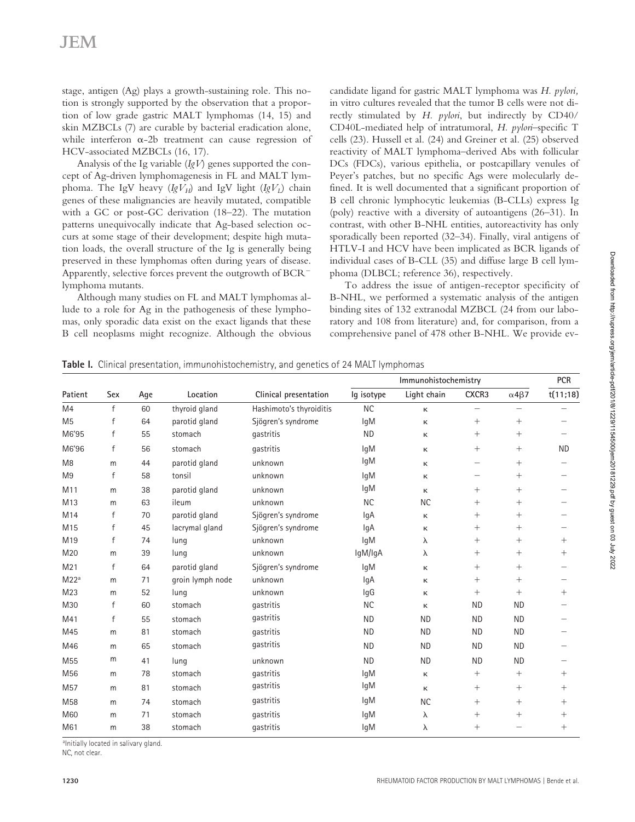stage, antigen (Ag) plays a growth-sustaining role. This notion is strongly supported by the observation that a proportion of low grade gastric MALT lymphomas (14, 15) and skin MZBCLs (7) are curable by bacterial eradication alone, while interferon  $\alpha$ -2b treatment can cause regression of HCV-associated MZBCLs (16, 17).

Analysis of the Ig variable (*IgV*) genes supported the concept of Ag-driven lymphomagenesis in FL and MALT lymphoma. The IgV heavy  $(IgV_H)$  and IgV light  $(IgV_I)$  chain genes of these malignancies are heavily mutated, compatible with a GC or post-GC derivation (18–22). The mutation patterns unequivocally indicate that Ag-based selection occurs at some stage of their development; despite high mutation loads, the overall structure of the Ig is generally being preserved in these lymphomas often during years of disease. Apparently, selective forces prevent the outgrowth of BCR lymphoma mutants.

Although many studies on FL and MALT lymphomas allude to a role for Ag in the pathogenesis of these lymphomas, only sporadic data exist on the exact ligands that these B cell neoplasms might recognize. Although the obvious

candidate ligand for gastric MALT lymphoma was *H. pylori,* in vitro cultures revealed that the tumor B cells were not directly stimulated by *H. pylori*, but indirectly by CD40/ CD40L-mediated help of intratumoral, *H. pylori*–specific T cells (23). Hussell et al. (24) and Greiner et al. (25) observed reactivity of MALT lymphoma–derived Abs with follicular DCs (FDCs), various epithelia, or postcapillary venules of Peyer's patches, but no specific Ags were molecularly defined. It is well documented that a significant proportion of B cell chronic lymphocytic leukemias (B-CLLs) express Ig (poly) reactive with a diversity of autoantigens (26–31). In contrast, with other B-NHL entities, autoreactivity has only sporadically been reported (32–34). Finally, viral antigens of HTLV-I and HCV have been implicated as BCR ligands of individual cases of B-CLL (35) and diffuse large B cell lymphoma (DLBCL; reference 36), respectively.

To address the issue of antigen-receptor specificity of B-NHL, we performed a systematic analysis of the antigen binding sites of 132 extranodal MZBCL (24 from our laboratory and 108 from literature) and, for comparison, from a comprehensive panel of 478 other B-NHL. We provide ev-

|  |  |  | Table I. Clinical presentation, immunohistochemistry, and genetics of 24 MALT lymphomas |  |  |  |
|--|--|--|-----------------------------------------------------------------------------------------|--|--|--|
|--|--|--|-----------------------------------------------------------------------------------------|--|--|--|

|                  |              |     |                  |                         |            | Immunohistochemistry |                   |                      | <b>PCR</b>        |
|------------------|--------------|-----|------------------|-------------------------|------------|----------------------|-------------------|----------------------|-------------------|
| Patient          | Sex          | Age | Location         | Clinical presentation   | lg isotype | Light chain          | CXCR3             | $\alpha$ 4 $\beta$ 7 | t(11;18)          |
| M <sub>4</sub>   | f            | 60  | thyroid gland    | Hashimoto's thyroiditis | <b>NC</b>  | к                    |                   |                      |                   |
| M <sub>5</sub>   | f            | 64  | parotid gland    | Sjögren's syndrome      | <b>IgM</b> | к                    | $\! + \!\!\!\!$   |                      |                   |
| M6'95            | f            | 55  | stomach          | qastritis               | <b>ND</b>  | к                    | $^{+}$            | $^{+}$               |                   |
| M6'96            | $\mathsf{f}$ | 56  | stomach          | qastritis               | lgM        | к                    | $^{+}$            |                      | <b>ND</b>         |
| M <sub>8</sub>   | m            | 44  | parotid gland    | unknown                 | lqM        | к                    | $\qquad \qquad -$ | $^{+}$               | $\qquad \qquad -$ |
| M <sub>9</sub>   | f            | 58  | tonsil           | unknown                 | lgM        | к                    |                   | $^{+}$               |                   |
| M11              | m            | 38  | parotid gland    | unknown                 | lgM        | к                    | $^{+}$            | $\! + \!\!\!\!$      | $\qquad \qquad -$ |
| M13              | m            | 63  | ileum            | unknown                 | <b>NC</b>  | <b>NC</b>            | $\! + \!\!\!\!$   |                      | $\qquad \qquad -$ |
| M14              | $\mathsf{f}$ | 70  | parotid gland    | Sjögren's syndrome      | lgA        | к                    | $^{+}$            | $^{+}$               |                   |
| M <sub>15</sub>  | f            | 45  | lacrymal gland   | Sjögren's syndrome      | lgA        | к                    | $^{+}$            | $^{+}$               |                   |
| M19              | $\mathsf{f}$ | 74  | lung             | unknown                 | lgM        | λ                    | $\! + \!\!\!\!$   | $^{+}$               | $\! + \!\!\!\!$   |
| M20              | m            | 39  | lung             | unknown                 | IgM/IgA    | λ                    | $\! + \!\!\!\!$   | $^{+}$               | $\! + \!\!\!\!$   |
| M <sub>21</sub>  | f            | 64  | parotid gland    | Sjögren's syndrome      | <b>IgM</b> | к                    | $\! + \!\!\!\!$   |                      |                   |
| M22 <sup>a</sup> | m            | 71  | groin lymph node | unknown                 | lgA        | κ                    | $^{+}$            | $^{+}$               |                   |
| M23              | m            | 52  | lung             | unknown                 | IgG        | к                    |                   | $^{+}$               | $\! + \!\!\!\!$   |
| M30              | $\mathsf{f}$ | 60  | stomach          | qastritis               | <b>NC</b>  | к                    | <b>ND</b>         | <b>ND</b>            |                   |
| M41              | f            | 55  | stomach          | qastritis               | <b>ND</b>  | <b>ND</b>            | <b>ND</b>         | <b>ND</b>            |                   |
| M45              | m            | 81  | stomach          | qastritis               | <b>ND</b>  | <b>ND</b>            | <b>ND</b>         | <b>ND</b>            |                   |
| M46              | m            | 65  | stomach          | qastritis               | <b>ND</b>  | <b>ND</b>            | <b>ND</b>         | <b>ND</b>            |                   |
| M <sub>55</sub>  | m            | 41  | lung             | unknown                 | <b>ND</b>  | <b>ND</b>            | <b>ND</b>         | <b>ND</b>            |                   |
| M56              | m            | 78  | stomach          | qastritis               | lgM        | κ                    | $^{+}$            | $^{+}$               | $^{+}$            |
| M <sub>57</sub>  | m            | 81  | stomach          | qastritis               | lqM        | к                    | $^{+}$            | $^{+}$               | $^{+}$            |
| M <sub>58</sub>  | m            | 74  | stomach          | qastritis               | <b>IgM</b> | <b>NC</b>            | $\! + \!\!\!\!$   | $^{+}$               | $^{+}$            |
| M60              | m            | 71  | stomach          | gastritis               | lqM        | λ                    | $\! + \!\!\!\!$   | $^{+}$               | $\! + \!\!\!\!$   |
| M61              | m            | 38  | stomach          | gastritis               | <b>IgM</b> | λ                    | $\! + \!\!\!\!$   |                      | $^{+}$            |

a Initially located in salivary gland.

NC, not clear.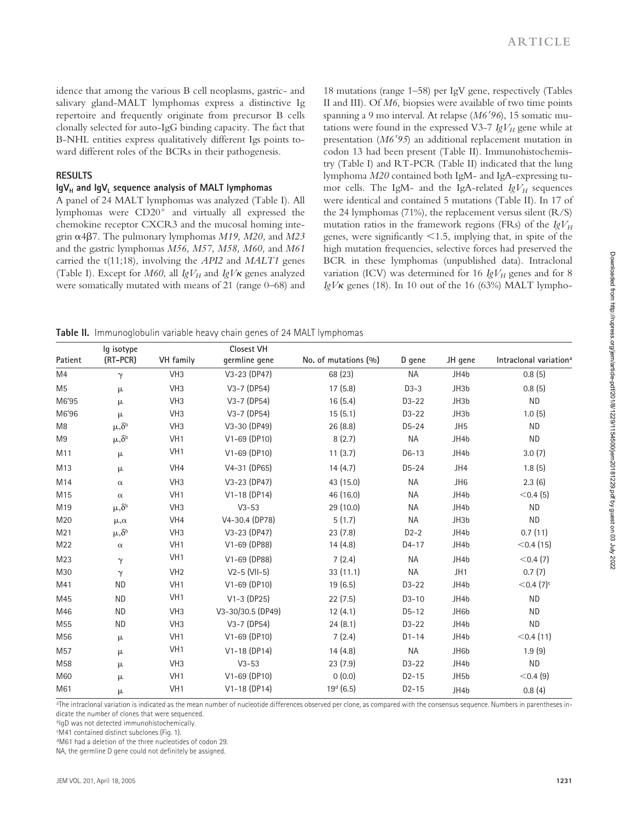idence that among the various B cell neoplasms, gastric- and salivary gland-MALT lymphomas express a distinctive Ig repertoire and frequently originate from precursor B cells clonally selected for auto-IgG binding capacity. The fact that B-NHL entities express qualitatively different Igs points toward different roles of the BCRs in their pathogenesis.

### **RESULTS**

## IgV<sub>H</sub> and IgV<sub>I</sub> sequence analysis of MALT lymphomas

A panel of 24 MALT lymphomas was analyzed (Table I). All lymphomas were  $CD20<sup>+</sup>$  and virtually all expressed the chemokine receptor CXCR3 and the mucosal homing integrin -47. The pulmonary lymphomas *M19, M20,* and *M23* and the gastric lymphomas *M56, M57, M58, M60,* and *M61* carried the t(11;18), involving the *API2* and *MALT1* genes (Table I). Except for  $M60$ , all  $IgV_H$  and  $IgV_K$  genes analyzed were somatically mutated with means of 21 (range 0–68) and 18 mutations (range 1–58) per IgV gene, respectively (Tables II and III). Of *M6,* biopsies were available of two time points spanning a 9 mo interval. At relapse (*M696*), 15 somatic mutations were found in the expressed V3-7  $IgV_H$  gene while at presentation (*M695*) an additional replacement mutation in codon 13 had been present (Table II). Immunohistochemistry (Table I) and RT-PCR (Table II) indicated that the lung lymphoma *M20* contained both IgM- and IgA-expressing tumor cells. The IgM- and the IgA-related  $IgV_H$  sequences were identical and contained 5 mutations (Table II). In 17 of the 24 lymphomas  $(71\%)$ , the replacement versus silent  $(R/S)$ mutation ratios in the framework regions (FRs) of the  $IgV_H$ genes, were significantly  $\leq 1.5$ , implying that, in spite of the high mutation frequencies, selective forces had preserved the BCR in these lymphomas (unpublished data). Intraclonal variation (ICV) was determined for 16  $IgV_H$  genes and for 8  $IgV\kappa$  genes (18). In 10 out of the 16 (63%) MALT lympho-

**Table II.** Immunoglobulin variable heavy chain genes of 24 MALT lymphomas

| Patient         | lg isotype<br>(RT-PCR) | <b>VH</b> family | Closest VH<br>germline gene | No. of mutations (%)  | D gene    | JH gene          | Intraclonal variation <sup>a</sup> |
|-----------------|------------------------|------------------|-----------------------------|-----------------------|-----------|------------------|------------------------------------|
| M4              | $\gamma$               | VH <sub>3</sub>  | V3-23 (DP47)                | 68 (23)               | <b>NA</b> | JH4b             | 0.8(5)                             |
| M <sub>5</sub>  | μ                      | VH <sub>3</sub>  | $V3-7$ (DP54)               | 17(5.8)               | $D3-3$    | JH3b             | 0.8(5)                             |
| M6'95           | μ                      | VH <sub>3</sub>  | $V3 - 7$ (DP54)             | 16(5.4)               | D3-22     | JH3b             | <b>ND</b>                          |
| M6'96           | μ                      | VH <sub>3</sub>  | $V3-7$ (DP54)               | 15(5.1)               | D3-22     | JH3b             | 1.0(5)                             |
| M <sub>8</sub>  | $\mu, \delta^b$        | VH <sub>3</sub>  | V3-30 (DP49)                | 26(8.8)               | D5-24     | JH <sub>5</sub>  | <b>ND</b>                          |
| M <sub>9</sub>  | $\mu, \delta^b$        | VH <sub>1</sub>  | V1-69 (DP10)                | 8(2.7)                | <b>NA</b> | JH4b             | <b>ND</b>                          |
| M11             | μ                      | VH <sub>1</sub>  | V1-69 (DP10)                | 11(3.7)               | $D6-13$   | JH4b             | 3.0(7)                             |
| M13             | μ                      | VH4              | V4-31 (DP65)                | 14(4.7)               | $D5-24$   | JH4              | 1.8(5)                             |
| M14             | $\alpha$               | VH <sub>3</sub>  | V3-23 (DP47)                | 43 (15.0)             | <b>NA</b> | JH <sub>6</sub>  | 2.3(6)                             |
| M <sub>15</sub> | $\alpha$               | VH <sub>1</sub>  | $V1-18$ (DP14)              | 46 (16.0)             | <b>NA</b> | JH4b             | $<$ 0.4 (5)                        |
| M19             | $\mu, \delta^b$        | VH <sub>3</sub>  | $V3-53$                     | 29 (10.0)             | <b>NA</b> | JH4b             | <b>ND</b>                          |
| M20             | $\mu, \alpha$          | VH4              | V4-30.4 (DP78)              | 5(1.7)                | <b>NA</b> | JH3b             | <b>ND</b>                          |
| M <sub>21</sub> | $\mu, \delta^b$        | VH <sub>3</sub>  | V3-23 (DP47)                | 23(7.8)               | $D2-2$    | JH4b             | 0.7(11)                            |
| M22             | $\alpha$               | VH <sub>1</sub>  | V1-69 (DP88)                | 14(4.8)               | D4-17     | JH4b             | $<$ 0.4 (15)                       |
| M23             | $\gamma$               | VH <sub>1</sub>  | V1-69 (DP88)                | 7(2.4)                | <b>NA</b> | JH4b             | $<$ 0.4 (7)                        |
| M30             | $\gamma$               | VH <sub>2</sub>  | $V2-5$ (VII-5)              | 33(11.1)              | <b>NA</b> | JH <sub>1</sub>  | 0.7(7)                             |
| M41             | <b>ND</b>              | VH <sub>1</sub>  | V1-69 (DP10)                | 19(6.5)               | D3-22     | JH4b             | $<$ 0.4 $(7)^c$                    |
| M45             | <b>ND</b>              | VH <sub>1</sub>  | $V1-3$ (DP25)               | 22(7.5)               | $D3-10$   | JH4b             | <b>ND</b>                          |
| M46             | <b>ND</b>              | VH <sub>3</sub>  | V3-30/30.5 (DP49)           | 12(4.1)               | $D5-12$   | JH6b             | <b>ND</b>                          |
| M <sub>55</sub> | <b>ND</b>              | VH <sub>3</sub>  | $V3-7$ (DP54)               | 24(8.1)               | D3-22     | JH4b             | <b>ND</b>                          |
| M56             | μ                      | VH <sub>1</sub>  | V1-69 (DP10)                | 7(2.4)                | $D1 - 14$ | JH4b             | $<$ 0.4 (11)                       |
| M57             | μ                      | VH <sub>1</sub>  | $V1-18(DP14)$               | 14(4.8)               | <b>NA</b> | JH6b             | 1.9(9)                             |
| M58             | μ                      | VH <sub>3</sub>  | $V3-53$                     | 23(7.9)               | D3-22     | JH4b             | <b>ND</b>                          |
| M60             | μ                      | VH <sub>1</sub>  | $V1-69$ (DP10)              | 0(0.0)                | $D2-15$   | JH <sub>5b</sub> | $<$ 0.4 (9)                        |
| M61             | μ                      | VH <sub>1</sub>  | $V1-18$ (DP14)              | 19 <sup>d</sup> (6.5) | $D2-15$   | JH4b             | 0.8(4)                             |

a The intraclonal variation is indicated as the mean number of nucleotide differences observed per clone, as compared with the consensus sequence. Numbers in parentheses indicate the number of clones that were sequenced.

bIgD was not detected immunohistochemically.

c M41 contained distinct subclones (Fig. 1).

dM61 had a deletion of the three nucleotides of codon 29.

NA, the germline D gene could not definitely be assigned.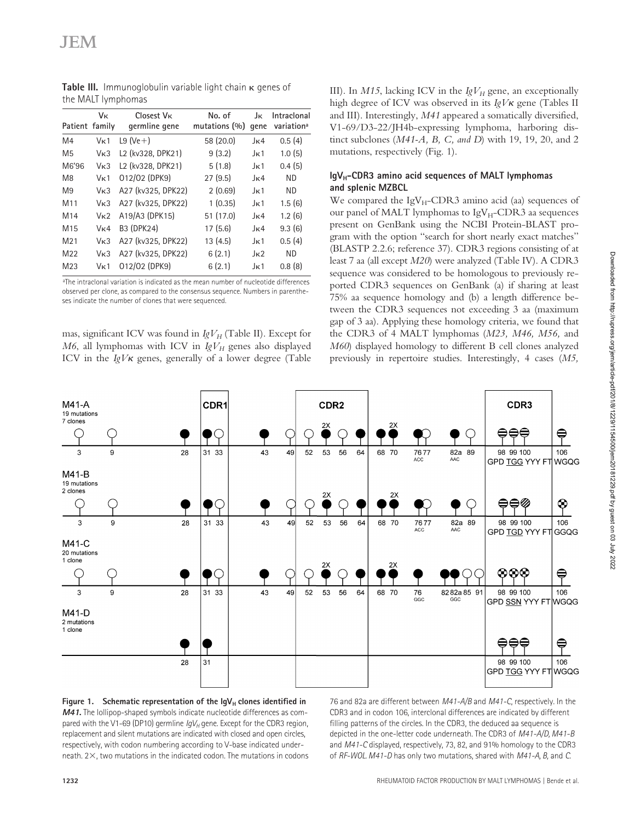|                 | Vк               | Closest V <sub>K</sub>                                  | No. of            | Jκ               | Intraclonal            |
|-----------------|------------------|---------------------------------------------------------|-------------------|------------------|------------------------|
| Patient family  |                  | germline gene                                           | mutations $(\% )$ | qene             | variation <sup>a</sup> |
| M4              | V <sub>K</sub> 1 | L9 $(\text{Ve} + )$                                     | 58 (20.0)         | $J_{\rm K}4$     | 0.5(4)                 |
| M <sub>5</sub>  | V <sub>K</sub> 3 | L <sub>2</sub> (kv <sub>328</sub> , DPK <sub>21</sub> ) | 9(3.2)            | $J_{\rm K}1$     | 1.0(5)                 |
| M6'96           | V <sub>K</sub> 3 | L <sub>2</sub> (kv <sub>328</sub> , DPK <sub>21</sub> ) | 5(1.8)            | $J_{\rm K}1$     | 0.4(5)                 |
| M <sub>8</sub>  | V <sub>K</sub> 1 | 012/02 (DPK9)                                           | 27(9.5)           | J <sub>K</sub> 4 | <b>ND</b>              |
| M <sub>9</sub>  | V <sub>K</sub> 3 | A27 (kv325, DPK22)                                      | 2(0.69)           | $J_{\rm K}1$     | ND.                    |
| M11             | V <sub>K</sub> 3 | A27 (kv325, DPK22)                                      | 1(0.35)           | $J_{\rm K}1$     | 1.5(6)                 |
| M <sub>14</sub> | V <sub>K</sub> 2 | A19/A3 (DPK15)                                          | 51 (17.0)         | $J_{\rm K}4$     | 1.2(6)                 |
| M <sub>15</sub> | V <sub>K</sub> 4 | B3 (DPK24)                                              | 17(5.6)           | $J_{\rm K}4$     | 9.3(6)                 |
| M <sub>21</sub> | V <sub>K</sub> 3 | A27 (kv325, DPK22)                                      | 13(4.5)           | $J_{\rm K}1$     | 0.5(4)                 |
| M22             | V <sub>K</sub> 3 | A27 (kv325, DPK22)                                      | 6(2.1)            | $J_{\rm K}$ 2    | <b>ND</b>              |
| M <sub>23</sub> | Vĸ1              | 012/02 (DPK9)                                           | 6(2.1)            | $J_{\rm K}1$     | 0.8(8)                 |
|                 |                  |                                                         |                   |                  |                        |

Table III. Immunoglobulin variable light chain **K** genes of the MALT lymphomas

a The intraclonal variation is indicated as the mean number of nucleotide differences observed per clone, as compared to the consensus sequence. Numbers in parentheses indicate the number of clones that were sequenced.

mas, significant ICV was found in *IgV<sub>H</sub>* (Table II). Except for *M6*, all lymphomas with ICV in  $IgV_H$  genes also displayed ICV in the  $IgV\kappa$  genes, generally of a lower degree (Table

III). In  $M15$ , lacking ICV in the  $IgV_H$  gene, an exceptionally high degree of ICV was observed in its *IgV* K gene (Tables II and III). Interestingly, *M41* appeared a somatically diversified, V1-69/D3-22/JH4b-expressing lymphoma, harboring distinct subclones (*M41-A, B, C, and D*) with 19, 19, 20, and 2 mutations, respectively (Fig. 1).

## IgV<sub>H</sub>-CDR3 amino acid sequences of MALT lymphomas **and splenic MZBCL**

We compared the  $IgV_H$ -CDR3 amino acid (aa) sequences of our panel of MALT lymphomas to  $IgV_H$ -CDR3 aa sequences present on GenBank using the NCBI Protein-BLAST program with the option "search for short nearly exact matches" (BLASTP 2.2.6; reference 37). CDR3 regions consisting of at least 7 aa (all except *M20*) were analyzed (Table IV). A CDR3 sequence was considered to be homologous to previously reported CDR3 sequences on GenBank (a) if sharing at least 75% aa sequence homology and (b) a length difference between the CDR3 sequences not exceeding 3 aa (maximum gap of 3 aa). Applying these homology criteria, we found that the CDR3 of 4 MALT lymphomas (*M23, M46, M56,* and *M60*) displayed homology to different B cell clones analyzed previously in repertoire studies. Interestingly, 4 cases (*M5,*





76 and 82a are different between *M41-A/B* and *M41-C*, respectively. In the CDR3 and in codon 106, interclonal differences are indicated by different filling patterns of the circles. In the CDR3, the deduced aa sequence is depicted in the one-letter code underneath. The CDR3 of *M41-A/D, M41-B* and *M41-C* displayed, respectively, 73, 82, and 91% homology to the CDR3 of *RF-WOL. M41-D* has only two mutations, shared with *M41-A, B,* and *C*.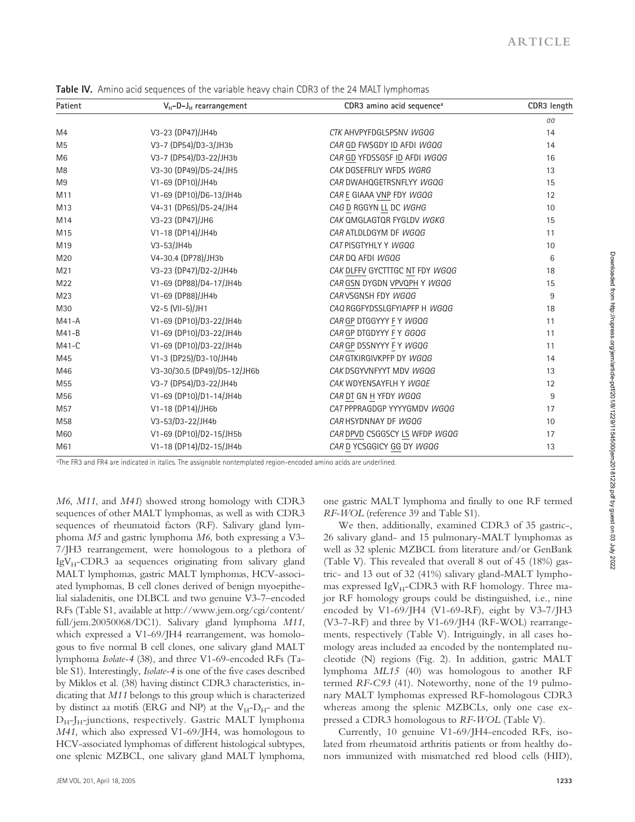| Patient         | $V_H$ -D-J <sub>H</sub> rearrangement | CDR3 amino acid sequence <sup>a</sup> | CDR3 length |
|-----------------|---------------------------------------|---------------------------------------|-------------|
|                 |                                       |                                       | aa          |
| M4              | V3-23 (DP47)/JH4b                     | CTK AHVPYFDGLSPSNV WGQG               | 14          |
| M <sub>5</sub>  | V3-7 (DP54)/D3-3/JH3b                 | CAR GD FWSGDY ID AFDI WGQG            | 14          |
| M <sub>6</sub>  | V3-7 (DP54)/D3-22/JH3b                | CAR GD YFDSSGSF ID AFDI WGQG          | 16          |
| M <sub>8</sub>  | V3-30 (DP49)/D5-24/JH5                | CAK DGSEFRLIY WFDS WGRG               | 13          |
| M <sub>9</sub>  | V1-69 (DP10)/JH4b                     | CAR DWAHQGETRSNFLYY WGQG              | 15          |
| M11             | V1-69 (DP10)/D6-13/JH4b               | CAR E GIAAA VNP FDY WGQG              | 12          |
| M13             | V4-31 (DP65)/D5-24/JH4                | CAG D RGGYN LL DC WGHG                | 10          |
| M14             | V3-23 (DP47)/JH6                      | CAK OMGLAGTOR FYGLDV WGKG             | 15          |
| M15             | V1-18 (DP14)/JH4b                     | CAR ATLDLDGYM DF WGQG                 | 11          |
| M19             | V3-53/JH4b                            | CAT PISGTYHLY Y WGQG                  | 10          |
| M20             | V4-30.4 (DP78)/JH3b                   | CAR DO AFDI WGOG                      | 6           |
| M <sub>21</sub> | V3-23 (DP47)/D2-2/JH4b                | CAK DLFFV GYCTTTGC NT FDY WGQG        | 18          |
| M22             | V1-69 (DP88)/D4-17/JH4b               | CAR GSN DYGDN VPVQPH Y WGQG           | 15          |
| M <sub>23</sub> | V1-69 (DP88)/JH4b                     | CAR VSGNSH FDY WGQG                   | 9           |
| M30             | V2-5 (VII-5)/JH1                      | CAQ RGGFYDSSLGFYIAPFP H WGQG          | 18          |
| $M41-A$         | V1-69 (DP10)/D3-22/JH4b               | CAR GP DTGGYYY FY WGQG                | 11          |
| $M41-B$         | V1-69 (DP10)/D3-22/JH4b               | CAR GP DTGDYYY FY GGQG                | 11          |
| $M41-C$         | V1-69 (DP10)/D3-22/JH4b               | CAR GP DSSNYYY FY WGQG                | 11          |
| M45             | V1-3 (DP25)/D3-10/JH4b                | CAR GTKIRGIVKPFP DY WGQG              | 14          |
| M46             | V3-30/30.5 (DP49)/D5-12/JH6b          | CAK DSGYVNFYYT MDV WGQG               | 13          |
| M55             | V3-7 (DP54)/D3-22/JH4b                | CAK WDYENSAYFLH Y WGQE                | 12          |
| M56             | V1-69 (DP10)/D1-14/JH4b               | CAR DT GN H YFDY WGQG                 | 9           |
| M57             | V1-18 (DP14)/JH6b                     | CAT PPPRAGDGP YYYYGMDV WGQG           | 17          |
| M58             | V3-53/D3-22/JH4b                      | CAR HSYDNNAY DF WGQG                  | 10          |
| M60             | V1-69 (DP10)/D2-15/JH5b               | CAR DPVD CSGGSCY LS WFDP WGQG         | 17          |
| M61             | V1-18 (DP14)/D2-15/JH4b               | CAR D YCSGGICY GG DY WGOG             | 13          |

**Table IV.** Amino acid sequences of the variable heavy chain CDR3 of the 24 MALT lymphomas

a The FR3 and FR4 are indicated in italics. The assignable nontemplated region-encoded amino acids are underlined.

*M6*, *M11*, and *M41*) showed strong homology with CDR3 sequences of other MALT lymphomas, as well as with CDR3 sequences of rheumatoid factors (RF). Salivary gland lymphoma *M5* and gastric lymphoma *M6*, both expressing a V3- 7/JH3 rearrangement, were homologous to a plethora of  $IgV_H$ -CDR3 aa sequences originating from salivary gland MALT lymphomas, gastric MALT lymphomas, HCV-associated lymphomas, B cell clones derived of benign myoepithelial sialadenitis, one DLBCL and two genuine V3-7–encoded RFs (Table S1, available at http://www.jem.org/cgi/content/ full/jem.20050068/DC1). Salivary gland lymphoma *M11*, which expressed a V1-69/JH4 rearrangement, was homologous to five normal B cell clones, one salivary gland MALT lymphoma *Isolate-4* (38), and three V1-69-encoded RFs (Table S1). Interestingly, *Isolate-4* is one of the five cases described by Miklos et al. (38) having distinct CDR3 characteristics, indicating that *M11* belongs to this group which is characterized by distinct aa motifs (ERG and NP) at the  $V_{H}-D_{H}$ - and the  $D_{H}$ -J<sub>H</sub>-junctions, respectively. Gastric MALT lymphoma *M41*, which also expressed V1-69/JH4, was homologous to HCV-associated lymphomas of different histological subtypes, one splenic MZBCL, one salivary gland MALT lymphoma,

one gastric MALT lymphoma and finally to one RF termed *RF-WOL* (reference 39 and Table S1).

We then, additionally, examined CDR3 of 35 gastric-, 26 salivary gland- and 15 pulmonary-MALT lymphomas as well as 32 splenic MZBCL from literature and/or GenBank (Table V). This revealed that overall 8 out of 45 (18%) gastric- and 13 out of 32 (41%) salivary gland-MALT lymphomas expressed  $IgV_H$ -CDR3 with RF homology. Three major RF homology groups could be distinguished, i.e., nine encoded by V1-69/JH4 (V1-69-RF), eight by V3-7/JH3 (V3-7-RF) and three by V1-69/JH4 (RF-WOL) rearrangements, respectively (Table V). Intriguingly, in all cases homology areas included aa encoded by the nontemplated nucleotide (N) regions (Fig. 2). In addition, gastric MALT lymphoma *ML15* (40) was homologous to another RF termed *RF-C93* (41). Noteworthy, none of the 19 pulmonary MALT lymphomas expressed RF-homologous CDR3 whereas among the splenic MZBCLs, only one case expressed a CDR3 homologous to *RF-WOL* (Table V).

Currently, 10 genuine V1-69/JH4-encoded RFs, isolated from rheumatoid arthritis patients or from healthy donors immunized with mismatched red blood cells (HID),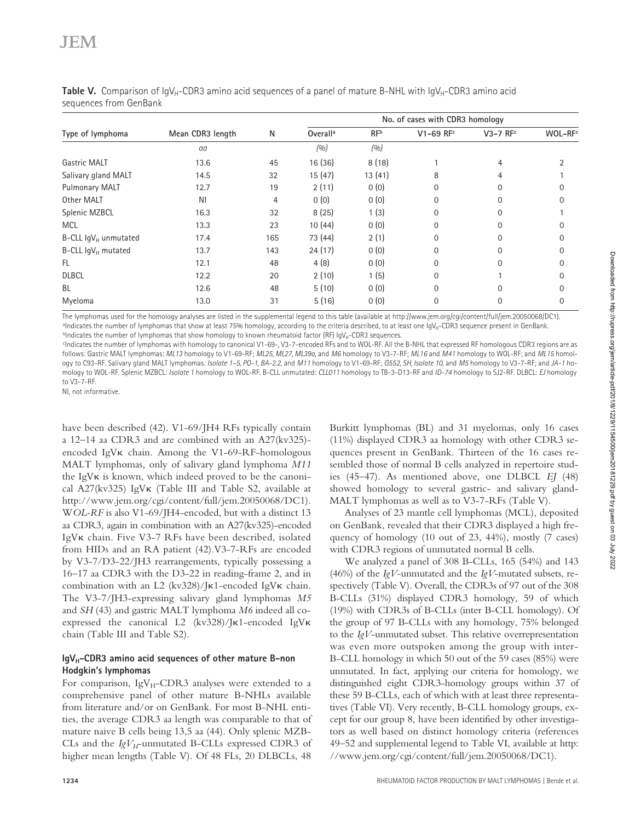|                                |                  |     |                      |                 | No. of cases with CDR3 homology |                        |                     |
|--------------------------------|------------------|-----|----------------------|-----------------|---------------------------------|------------------------|---------------------|
| Type of lymphoma               | Mean CDR3 length | Ν   | Overall <sup>a</sup> | RF <sup>b</sup> | V1-69 RFc                       | $V3-7$ RF <sup>c</sup> | WOL-RF <sup>c</sup> |
|                                | aa               |     | (9/0)                | (0/0)           |                                 |                        |                     |
| Gastric MALT                   | 13.6             | 45  | 16 (36)              | 8(18)           |                                 | 4                      |                     |
| Salivary gland MALT            | 14.5             | 32  | 15(47)               | 13(41)          | 8                               | 4                      |                     |
| <b>Pulmonary MALT</b>          | 12.7             | 19  | 2(11)                | 0(0)            | $\Omega$                        | $\Omega$               |                     |
| Other MALT                     | ΝI               | 4   | 0(0)                 | 0(0)            | 0                               | $\Omega$               |                     |
| Splenic MZBCL                  | 16.3             | 32  | 8(25)                | 1(3)            | 0                               | $\Omega$               |                     |
| <b>MCL</b>                     | 13.3             | 23  | 10(44)               | 0(0)            | $\Omega$                        | $\Omega$               |                     |
| B-CLL $\lg V_H$ unmutated      | 17.4             | 165 | 73 (44)              | 2(1)            | 0                               | $\Omega$               |                     |
| B-CLL $\text{IgV}_{H}$ mutated | 13.7             | 143 | 24(17)               | 0(0)            | 0                               | $\Omega$               |                     |
| <b>FL</b>                      | 12.1             | 48  | 4(8)                 | 0(0)            | 0                               | $\Omega$               |                     |
| <b>DLBCL</b>                   | 12.2             | 20  | 2(10)                | 1(5)            | 0                               |                        |                     |
| <b>BL</b>                      | 12.6             | 48  | 5(10)                | 0(0)            | $\Omega$                        | $\Omega$               |                     |
| Myeloma                        | 13.0             | 31  | 5(16)                | 0(0)            | 0                               | 0                      | 0                   |

**Table V.** Comparison of IgV<sub>H</sub>-CDR3 amino acid sequences of a panel of mature B-NHL with IgV<sub>H</sub>-CDR3 amino acid sequences from GenBank

The lymphomas used for the homology analyses are listed in the supplemental legend to this table (available at http://www.jem.org/cgi/content/full/jem.20050068/DC1).  $^{\text{a}}$ Indicates the number of lymphomas that show at least 75% homology, according to the criteria described, to at least one IgV<sub>H</sub>-CDR3 sequence present in GenBank. bIndicates the number of lymphomas that show homology to known rheumatoid factor (RF)  $\log V_{H}$ -CDR3 sequences.

c Indicates the number of lymphomas with homology to canonical V1-69-, V3-7-encoded RFs and to WOL-RF. All the B-NHL that expressed RF homologous CDR3 regions are as follows: Gastric MALT lymphomas: *ML13* homology to V1-69-RF; *ML25, ML27, ML39a,* and *M6* homology to V3-7-RF; *ML16* and *M41* homology to WOL-RF; and *ML15* homology to C93-RF. Salivary gland MALT lymphomas: *Isolate 1–5, PO-1, BA-2.2,* and *M11* homology to V1-69-RF; *G552, SH, Isolate 10,* and *M5* homology to V3-7-RF; and *JA-1* homology to WOL-RF. Splenic MZBCL: *Isolate 1* homology to WOL-RF. B-CLL unmutated: *CLL011* homology to TB-3-D13-RF and *ID-74* homology to SJ2-RF. DLBCL: *EJ* homology to V3-7-RF.

NI, not informative.

have been described (42). V1-69/JH4 RFs typically contain a 12–14 aa CDR3 and are combined with an A27(kv325) encoded IgV $\kappa$  chain. Among the V1-69-RF-homologous MALT lymphomas, only of salivary gland lymphoma *M11* the IgV $\kappa$  is known, which indeed proved to be the canonical A27( $kv325$ ) IgV $\kappa$  (Table III and Table S2, available at http://www.jem.org/cgi/content/full/jem.20050068/DC1). W*OL-RF* is also V1-69/JH4-encoded, but with a distinct 13 aa CDR3, again in combination with an A27(kv325)-encoded IgVK chain. Five V3-7 RFs have been described, isolated from HIDs and an RA patient (42).V3-7-RFs are encoded by V3-7/D3-22/JH3 rearrangements, typically possessing a 16–17 aa CDR3 with the D3-22 in reading-frame 2, and in combination with an L2  $(kv328)/J\kappa$ 1-encoded IgV $\kappa$  chain. The V3-7/JH3-expressing salivary gland lymphomas *M5* and *SH* (43) and gastric MALT lymphoma *M6* indeed all coexpressed the canonical L2  $(kv328)/J\kappa$ 1-encoded IgV $\kappa$ chain (Table III and Table S2).

## IgV<sub>H</sub>-CDR3 amino acid sequences of other mature B-non **Hodgkin's lymphomas**

For comparison, IgV $_{\rm H}$ -CDR3 analyses were extended to a comprehensive panel of other mature B-NHLs available from literature and/or on GenBank. For most B-NHL entities, the average CDR3 aa length was comparable to that of mature naive B cells being 13,5 aa (44). Only splenic MZB-CLs and the  $IgV_H$ -unmutated B-CLLs expressed CDR3 of higher mean lengths (Table V). Of 48 FLs, 20 DLBCLs, 48

Burkitt lymphomas (BL) and 31 myelomas, only 16 cases (11%) displayed CDR3 aa homology with other CDR3 sequences present in GenBank. Thirteen of the 16 cases resembled those of normal B cells analyzed in repertoire studies (45–47). As mentioned above, one DLBCL *EJ* (48) showed homology to several gastric- and salivary gland-MALT lymphomas as well as to V3-7-RFs (Table V).

Analyses of 23 mantle cell lymphomas (MCL), deposited on GenBank, revealed that their CDR3 displayed a high frequency of homology (10 out of 23, 44%), mostly (7 cases) with CDR3 regions of unmutated normal B cells.

We analyzed a panel of 308 B-CLLs, 165 (54%) and 143 (46%) of the *IgV*-unmutated and the *IgV*-mutated subsets, respectively (Table V). Overall, the CDR3s of 97 out of the 308 B-CLLs (31%) displayed CDR3 homology, 59 of which (19%) with CDR3s of B-CLLs (inter B-CLL homology). Of the group of 97 B-CLLs with any homology, 75% belonged to the *IgV*-unmutated subset. This relative overrepresentation was even more outspoken among the group with inter-B-CLL homology in which 50 out of the 59 cases (85%) were unmutated. In fact, applying our criteria for homology, we distinguished eight CDR3-homology groups within 37 of these 59 B-CLLs, each of which with at least three representatives (Table VI). Very recently, B-CLL homology groups, except for our group 8, have been identified by other investigators as well based on distinct homology criteria (references 49–52 and supplemental legend to Table VI, available at http: //www.jem.org/cgi/content/full/jem.20050068/DC1).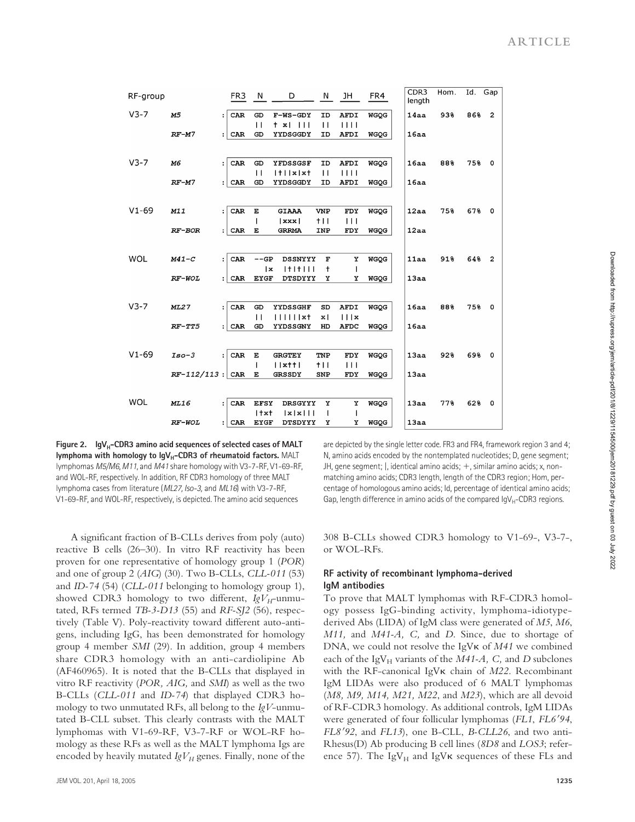| RF-group   |                    |                      | FR <sub>3</sub> | - N                | D                            | N                  | JH           | FR4         | CDR <sub>3</sub><br>length | Hom. | Id. | Gap                     |
|------------|--------------------|----------------------|-----------------|--------------------|------------------------------|--------------------|--------------|-------------|----------------------------|------|-----|-------------------------|
| $V3-7$     | M5                 | $\ddot{\cdot}$       | CAR             | GD<br>$\mathbf{1}$ | F-WS-GDY<br>$+ x$<br>$\perp$ | ID<br>$\mathbf{1}$ | AFDI<br>1111 | <b>WGQG</b> | 14aa                       | 938  | 868 | $\overline{\mathbf{2}}$ |
|            | $RF-M7$            | $\ddot{\phantom{a}}$ | CAR             | GD                 | YYDSGGDY                     | ID                 | AFDI         | <b>WGQG</b> | 16aa                       |      |     |                         |
|            |                    |                      |                 |                    |                              |                    |              |             |                            |      |     |                         |
| $V3-7$     | M6                 | $\ddot{\phantom{a}}$ | CAR             | GD                 | YFDSSGSF                     | ID                 | <b>AFDI</b>  | <b>WGQG</b> | 16aa                       | 88%  | 758 | $\circ$                 |
|            |                    |                      |                 | $\overline{1}$     | $ t $ $ x $ $x$ $t$          | $\mathbf{1}$       | 1111         |             |                            |      |     |                         |
|            | $RF-M7$            | $\mathbf{L}$         | CAR             | GD                 | YYDSGGDY                     | ID                 | <b>AFDI</b>  | <b>WGQG</b> | 16aa                       |      |     |                         |
|            |                    |                      |                 |                    |                              |                    |              |             |                            |      |     |                         |
| $V1 - 69$  | M11                | $\ddot{\cdot}$       | CAR             | E                  | GIAAA                        | <b>VNP</b>         | FDY          | <b>WGQG</b> | 12aa                       | 75%  | 678 | $\circ$                 |
|            |                    |                      |                 |                    | xxx                          | $+11$              | $\Box$       |             |                            |      |     |                         |
|            | RF-BOR             | $\ddot{\phantom{a}}$ | CAR             | E                  | <b>GRRMA</b>                 | INP                | FDY          | <b>WGQG</b> | 12aa                       |      |     |                         |
|            |                    |                      |                 |                    |                              |                    |              |             |                            |      |     |                         |
| <b>WOL</b> | $M41-C$            | $\ddot{\phantom{a}}$ | CAR             | $--GP$             | <b>DSSNYYY</b>               | $\mathbf F$        | Y            | <b>WGOG</b> | 11aa                       | 918  | 648 | $\overline{2}$          |
|            |                    |                      |                 | x                  | $ + + + $                    | t                  | $\mathsf{I}$ |             |                            |      |     |                         |
|            | RF-WOL             | $\mathbf{.}$         | CAR             | <b>EYGF</b>        | <b>DTSDYYY</b>               | Y                  | Υ            | <b>WGQG</b> | 13aa                       |      |     |                         |
|            |                    |                      |                 |                    |                              |                    |              |             |                            |      |     |                         |
| $V3-7$     | <b>ML27</b>        | $\ddot{\phantom{a}}$ | CAR             | GD                 | YYDSSGHF                     | SD                 | <b>AFDI</b>  | <b>WGOG</b> | 16aa                       | 88%  | 75% | $\circ$                 |
|            |                    |                      |                 | $\mathbf{1}$       | $\blacksquare$               | $\mathbf{x}$       | 111x         |             |                            |      |     |                         |
|            | $RF-TT5$           | : 1                  | CAR             | GD                 | YYDSSGNY                     | HD                 | <b>AFDC</b>  | <b>WGQG</b> | 16aa                       |      |     |                         |
|            |                    |                      |                 |                    |                              |                    |              |             |                            |      |     |                         |
|            |                    |                      |                 |                    |                              |                    |              |             |                            |      |     |                         |
| $V1 - 69$  | $Iso-3$            | ÷                    | CAR             | $\mathbf E$        | <b>GRGTEY</b>                | TNP                | FDY          | <b>WGQG</b> | 13aa                       | 92%  | 698 | $\circ$                 |
|            |                    |                      |                 | I                  | $ $ $ $ $x$ † $ $            | 111                | $\Box$       |             |                            |      |     |                         |
|            | $RF-112/113$ : CAR |                      |                 | E                  | GRSSDY                       | SNP                | FDY          | <b>WGQG</b> | 13aa                       |      |     |                         |
|            |                    |                      |                 |                    |                              |                    |              |             |                            |      |     |                         |
| <b>WOL</b> | ML16               | $\ddot{\phantom{a}}$ | CAR             | <b>EFSY</b>        | <b>DRSGYYY</b>               | Y                  | Y            | <b>WGQG</b> | 13aa                       | 778  | 628 | $\mathbf 0$             |
|            |                    |                      |                 | $1 + xt$           | x x                          | 1                  | $\mathbf l$  |             |                            |      |     |                         |
|            | <b>RF-WOL</b>      |                      | $:  $ CAR       | <b>EYGF</b>        | <b>DTSDYYY</b>               | х                  | х            | <b>WGQG</b> | 13aa                       |      |     |                         |

Downloaded from http://rupress.org/jem/article-pdf/201/8/1229/1154500/jem20181229.pdf by guest on 03 July 2022 Downloaded from http://rupress.org/jem/article-pdf/201/8/1229/1154500/jem20181229.pdf by guest on 03 July 2022

Figure 2. IgV<sub>H</sub>-CDR3 amino acid sequences of selected cases of MALT **lymphoma with homology to IgV<sub>H</sub>-CDR3 of rheumatoid factors. MALT** lymphomas *M5/M6*, *M11*, and *M41* share homology with V3-7-RF, V1-69-RF, and WOL-RF, respectively. In addition, RF CDR3 homology of three MALT lymphoma cases from literature (*ML27, Iso-3,* and *ML16*) with V3-7-RF, V1-69-RF, and WOL-RF, respectively, is depicted. The amino acid sequences

A significant fraction of B-CLLs derives from poly (auto) reactive B cells (26–30). In vitro RF reactivity has been proven for one representative of homology group 1 (*POR*) and one of group 2 (*AIG*) (30). Two B-CLLs, *CLL-011* (53) and *ID-74* (54) (*CLL-011* belonging to homology group 1), showed CDR3 homology to two different,  $IgV_H$ -unmutated, RFs termed *TB-3-D13* (55) and *RF-SJ2* (56), respectively (Table V). Poly-reactivity toward different auto-antigens, including IgG, has been demonstrated for homology group 4 member *SMI* (29). In addition, group 4 members share CDR3 homology with an anti-cardiolipine Ab (AF460965). It is noted that the B-CLLs that displayed in vitro RF reactivity (*POR, AIG,* and *SMI*) as well as the two B-CLLs (*CLL-011* and *ID-74*) that displayed CDR3 homology to two unmutated RFs, all belong to the *IgV*-unmutated B-CLL subset. This clearly contrasts with the MALT lymphomas with V1-69-RF, V3-7-RF or WOL-RF homology as these RFs as well as the MALT lymphoma Igs are encoded by heavily mutated  $IgV_H$  genes. Finally, none of the are depicted by the single letter code. FR3 and FR4, framework region 3 and 4; N, amino acids encoded by the nontemplated nucleotides; D, gene segment; JH, gene segment;  $\vert$ , identical amino acids;  $+$ , similar amino acids; x, nonmatching amino acids; CDR3 length, length of the CDR3 region; Hom, percentage of homologous amino acids; Id, percentage of identical amino acids; Gap, length difference in amino acids of the compared  $IqV_H$ -CDR3 regions.

308 B-CLLs showed CDR3 homology to V1-69-, V3-7-, or WOL-RFs.

## **RF activity of recombinant lymphoma-derived IgM antibodies**

To prove that MALT lymphomas with RF-CDR3 homology possess IgG-binding activity, lymphoma-idiotypederived Abs (LIDA) of IgM class were generated of *M5*, *M6*, *M11,* and *M41-A, C,* and *D*. Since, due to shortage of DNA, we could not resolve the IgV<sub>K</sub> of *M41* we combined each of the IgV<sub>H</sub> variants of the *M41-A*, C, and *D* subclones with the RF-canonical IgV<sub>K</sub> chain of *M22*. Recombinant IgM LIDAs were also produced of 6 MALT lymphomas (*M8, M9, M14, M21, M22*, and *M23*), which are all devoid of RF-CDR3 homology. As additional controls, IgM LIDAs were generated of four follicular lymphomas (*FL1*, *FL694*, *FL892*, and *FL13*), one B-CLL, *B-CLL26*, and two anti-Rhesus(D) Ab producing B cell lines (*8D8* and *LOS3*; reference 57). The IgV $_H$  and IgV $\kappa$  sequences of these FLs and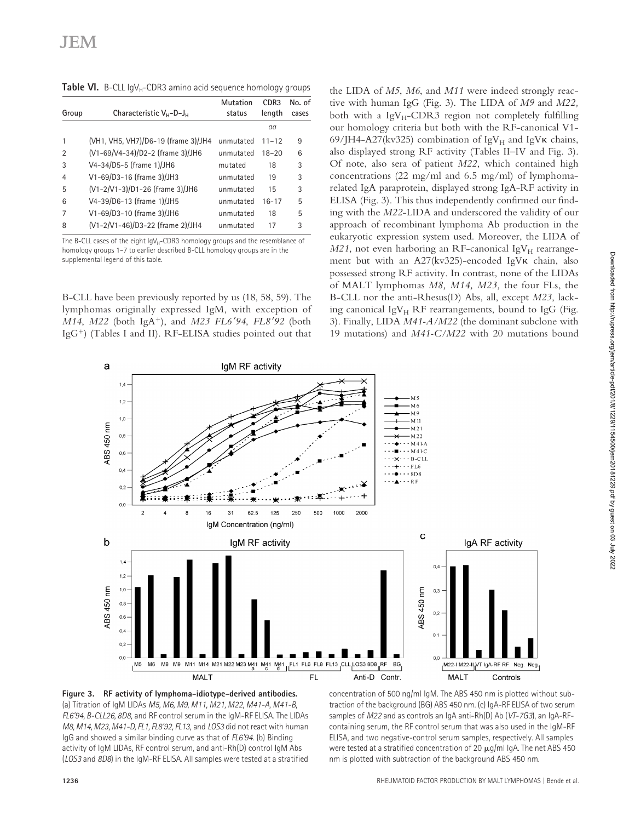**Table VI.** B-CLL IgV<sub>H</sub>-CDR3 amino acid sequence homology groups

| Group          | Characteristic $V_{H}$ -D-J $_{H}$  | Mutation<br>status | CDR3<br>length | No. of<br>cases |
|----------------|-------------------------------------|--------------------|----------------|-----------------|
|                |                                     |                    | aa             |                 |
|                | (VH1, VH5, VH7)/D6-19 (frame 3)/JH4 | unmutated          | $11 - 12$      | 9               |
| 2              | (V1-69/V4-34)/D2-2 (frame 3)/JH6    | unmutated          | $18 - 20$      | 6               |
| 3              | V4-34/D5-5 (frame 1)/JH6            | mutated            | 18             | 3               |
| $\overline{4}$ | V1-69/D3-16 (frame 3)/JH3           | unmutated          | 19             | 3               |
| 5              | (V1-2/V1-3)/D1-26 (frame 3)/JH6     | unmutated          | 15             | 3               |
| 6              | V4-39/D6-13 (frame 1)/JH5           | unmutated          | $16 - 17$      | 5               |
| 7              | V1-69/D3-10 (frame 3)/JH6           | unmutated          | 18             | 5               |
| 8              | (V1-2/V1-46)/D3-22 (frame 2)/JH4    | unmutated          | 17             | 3               |

The B-CLL cases of the eight  $\log_{H}$ -CDR3 homology groups and the resemblance of homology groups 1–7 to earlier described B-CLL homology groups are in the supplemental legend of this table.

B-CLL have been previously reported by us (18, 58, 59). The lymphomas originally expressed IgM, with exception of *M14*, *M22* (both IgA<sup>+</sup>), and *M23 FL6'94*, *FL8'92* (both  $IgG^+$ ) (Tables I and II). RF-ELISA studies pointed out that

the LIDA of *M5*, *M6*, and *M11* were indeed strongly reactive with human IgG (Fig. 3). The LIDA of *M9* and *M22,* both with a  $IgV_H$ -CDR3 region not completely fulfilling our homology criteria but both with the RF-canonical V1- 69/JH4-A27(kv325) combination of IgV $_{\rm H}$  and IgV $\kappa$  chains, also displayed strong RF activity (Tables II–IV and Fig. 3). Of note, also sera of patient *M22*, which contained high concentrations (22 mg/ml and 6.5 mg/ml) of lymphomarelated IgA paraprotein, displayed strong IgA-RF activity in ELISA (Fig. 3). This thus independently confirmed our finding with the *M22*-LIDA and underscored the validity of our approach of recombinant lymphoma Ab production in the eukaryotic expression system used. Moreover, the LIDA of  $M21$ , not even harboring an RF-canonical IgV<sub>H</sub> rearrangement but with an A27(kv325)-encoded IgV $\kappa$  chain, also possessed strong RF activity. In contrast, none of the LIDAs of MALT lymphomas *M8, M14, M23,* the four FLs, the B-CLL nor the anti-Rhesus(D) Abs, all, except *M23*, lacking canonical IgV $_H$  RF rearrangements, bound to IgG (Fig. 3). Finally, LIDA *M41-A/M22* (the dominant subclone with 19 mutations) and *M41-C/M22* with 20 mutations bound





concentration of 500 ng/ml IgM. The ABS 450 nm is plotted without subtraction of the background (BG) ABS 450 nm. (c) IgA-RF ELISA of two serum samples of *M22* and as controls an IgA anti-Rh(D) Ab (*VT-7G3*), an IgA-RFcontaining serum, the RF control serum that was also used in the IgM-RF ELISA, and two negative-control serum samples, respectively. All samples were tested at a stratified concentration of 20  $\mu$ g/ml IgA. The net ABS 450 nm is plotted with subtraction of the background ABS 450 nm.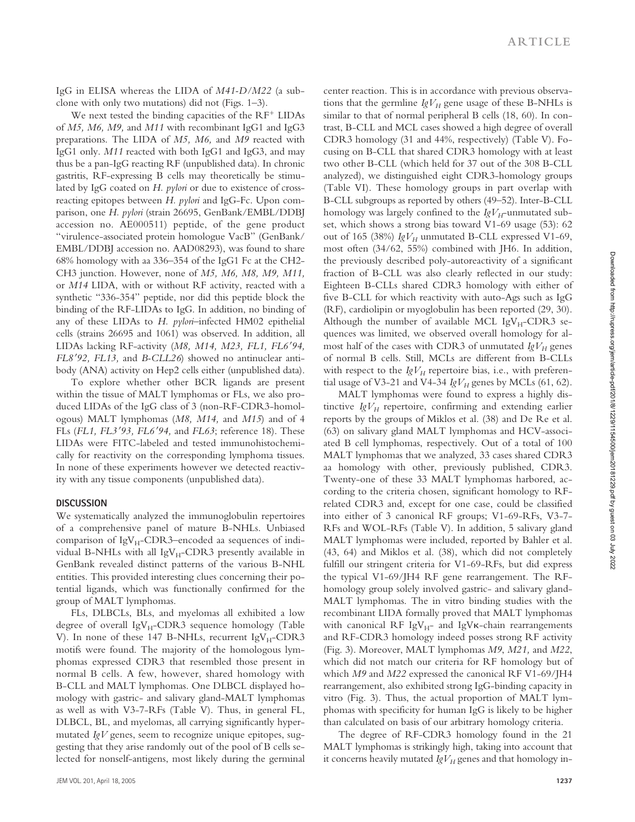IgG in ELISA whereas the LIDA of *M41-D/M22* (a subclone with only two mutations) did not (Figs. 1–3).

We next tested the binding capacities of the  $RF^+$  LIDAs of *M5, M6, M9,* and *M11* with recombinant IgG1 and IgG3 preparations. The LIDA of *M5, M6,* and *M9* reacted with IgG1 only. *M11* reacted with both IgG1 and IgG3, and may thus be a pan-IgG reacting RF (unpublished data). In chronic gastritis, RF-expressing B cells may theoretically be stimulated by IgG coated on *H. pylori* or due to existence of crossreacting epitopes between *H. pylori* and IgG-Fc. Upon comparison, one *H. pylori* (strain 26695, GenBank/EMBL/DDBJ accession no. AE000511) peptide, of the gene product "virulence-associated protein homologue VacB" (GenBank/ EMBL/DDBJ accession no. AAD08293), was found to share 68% homology with aa 336–354 of the IgG1 Fc at the CH2- CH3 junction. However, none of *M5, M6, M8, M9, M11,* or *M14* LIDA, with or without RF activity, reacted with a synthetic "336-354" peptide, nor did this peptide block the binding of the RF-LIDAs to IgG. In addition, no binding of any of these LIDAs to *H. pylori–*infected HM02 epithelial cells (strains 26695 and 1061) was observed. In addition, all LIDAs lacking RF-activity (*M8, M14, M23, FL1, FL694, FL892, FL13,* and *B-CLL26*) showed no antinuclear antibody (ANA) activity on Hep2 cells either (unpublished data).

To explore whether other BCR ligands are present within the tissue of MALT lymphomas or FLs, we also produced LIDAs of the IgG class of 3 (non-RF-CDR3-homologous) MALT lymphomas (*M8, M14,* and *M15*) and of 4 FLs (*FL1, FL393, FL694,* and *FL63*; reference 18). These LIDAs were FITC-labeled and tested immunohistochemically for reactivity on the corresponding lymphoma tissues. In none of these experiments however we detected reactivity with any tissue components (unpublished data).

#### **DISCUSSION**

We systematically analyzed the immunoglobulin repertoires of a comprehensive panel of mature B-NHLs. Unbiased comparison of  $IgV_H$ -CDR3–encoded aa sequences of individual B-NHLs with all  $IgV_H$ -CDR3 presently available in GenBank revealed distinct patterns of the various B-NHL entities. This provided interesting clues concerning their potential ligands, which was functionally confirmed for the group of MALT lymphomas.

FLs, DLBCLs, BLs, and myelomas all exhibited a low degree of overall  $IgV_H$ -CDR3 sequence homology (Table V). In none of these 147 B-NHLs, recurrent  $IgV_H$ -CDR3 motifs were found. The majority of the homologous lymphomas expressed CDR3 that resembled those present in normal B cells. A few, however, shared homology with B-CLL and MALT lymphomas. One DLBCL displayed homology with gastric- and salivary gland-MALT lymphomas as well as with V3-7-RFs (Table V). Thus, in general FL, DLBCL, BL, and myelomas, all carrying significantly hypermutated *IgV* genes, seem to recognize unique epitopes, suggesting that they arise randomly out of the pool of B cells selected for nonself-antigens, most likely during the germinal center reaction. This is in accordance with previous observations that the germline  $IgV_H$  gene usage of these B-NHLs is similar to that of normal peripheral B cells (18, 60). In contrast, B-CLL and MCL cases showed a high degree of overall CDR3 homology (31 and 44%, respectively) (Table V). Focusing on B-CLL that shared CDR3 homology with at least two other B-CLL (which held for 37 out of the 308 B-CLL analyzed), we distinguished eight CDR3-homology groups (Table VI). These homology groups in part overlap with B-CLL subgroups as reported by others (49–52). Inter-B-CLL homology was largely confined to the  $IgV_H$ -unmutated subset, which shows a strong bias toward V1-69 usage (53): 62 out of 165 (38%)  $IgV_H$  unmutated B-CLL expressed V1-69, most often (34/62, 55%) combined with JH6. In addition, the previously described poly-autoreactivity of a significant fraction of B-CLL was also clearly reflected in our study: Eighteen B-CLLs shared CDR3 homology with either of five B-CLL for which reactivity with auto-Ags such as IgG (RF), cardiolipin or myoglobulin has been reported (29, 30). Although the number of available MCL IgV $_{H}$ -CDR3 sequences was limited, we observed overall homology for almost half of the cases with CDR3 of unmutated  $IgV_H$  genes of normal B cells. Still, MCLs are different from B-CLLs with respect to the  $IgV_H$  repertoire bias, i.e., with preferential usage of V3-21 and V4-34  $IgV_H$  genes by MCLs (61, 62).

MALT lymphomas were found to express a highly distinctive  $IgV_H$  repertoire, confirming and extending earlier reports by the groups of Miklos et al. (38) and De Re et al. (63) on salivary gland MALT lymphomas and HCV-associated B cell lymphomas, respectively. Out of a total of 100 MALT lymphomas that we analyzed, 33 cases shared CDR3 aa homology with other, previously published, CDR3. Twenty-one of these 33 MALT lymphomas harbored, according to the criteria chosen, significant homology to RFrelated CDR3 and, except for one case, could be classified into either of 3 canonical RF groups; V1-69-RFs, V3-7- RFs and WOL-RFs (Table V). In addition, 5 salivary gland MALT lymphomas were included, reported by Bahler et al. (43, 64) and Miklos et al. (38), which did not completely fulfill our stringent criteria for V1-69-RFs, but did express the typical V1-69/JH4 RF gene rearrangement. The RFhomology group solely involved gastric- and salivary gland-MALT lymphomas. The in vitro binding studies with the recombinant LIDA formally proved that MALT lymphomas with canonical RF IgV $_{H^-}$  and IgV $\kappa$ -chain rearrangements and RF-CDR3 homology indeed posses strong RF activity (Fig. 3). Moreover, MALT lymphomas *M9*, *M21,* and *M22*, which did not match our criteria for RF homology but of which *M9* and *M22* expressed the canonical RF V1-69/JH4 rearrangement, also exhibited strong IgG-binding capacity in vitro (Fig. 3). Thus, the actual proportion of MALT lymphomas with specificity for human IgG is likely to be higher than calculated on basis of our arbitrary homology criteria.

The degree of RF-CDR3 homology found in the 21 MALT lymphomas is strikingly high, taking into account that it concerns heavily mutated *IgV<sub>H</sub>* genes and that homology in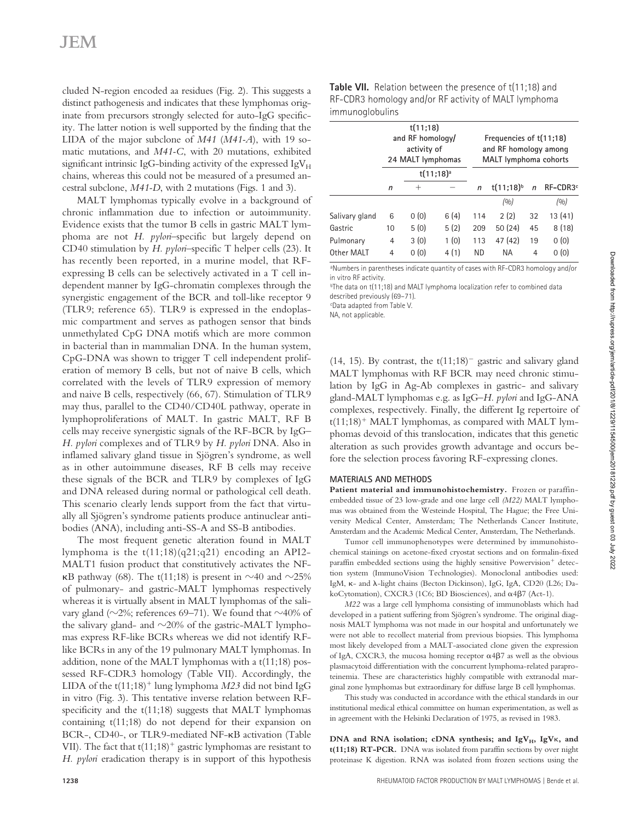cluded N-region encoded aa residues (Fig. 2). This suggests a distinct pathogenesis and indicates that these lymphomas originate from precursors strongly selected for auto-IgG specificity. The latter notion is well supported by the finding that the LIDA of the major subclone of *M41* (*M41-A*), with 19 somatic mutations, and *M41-C*, with 20 mutations, exhibited significant intrinsic IgG-binding activity of the expressed  $IgV_H$ chains, whereas this could not be measured of a presumed ancestral subclone, *M41-D*, with 2 mutations (Figs. 1 and 3).

MALT lymphomas typically evolve in a background of chronic inflammation due to infection or autoimmunity. Evidence exists that the tumor B cells in gastric MALT lymphoma are not *H. pylori*–specific but largely depend on CD40 stimulation by *H. pylori*–specific T helper cells (23). It has recently been reported, in a murine model, that RFexpressing B cells can be selectively activated in a T cell independent manner by IgG-chromatin complexes through the synergistic engagement of the BCR and toll-like receptor 9 (TLR9; reference 65). TLR9 is expressed in the endoplasmic compartment and serves as pathogen sensor that binds unmethylated CpG DNA motifs which are more common in bacterial than in mammalian DNA. In the human system, CpG-DNA was shown to trigger T cell independent proliferation of memory B cells, but not of naive B cells, which correlated with the levels of TLR9 expression of memory and naive B cells, respectively (66, 67). Stimulation of TLR9 may thus, parallel to the CD40/CD40L pathway, operate in lymphoproliferations of MALT. In gastric MALT, RF B cells may receive synergistic signals of the RF-BCR by IgG– *H. pylori* complexes and of TLR9 by *H. pylori* DNA. Also in inflamed salivary gland tissue in Sjögren's syndrome, as well as in other autoimmune diseases, RF B cells may receive these signals of the BCR and TLR9 by complexes of IgG and DNA released during normal or pathological cell death. This scenario clearly lends support from the fact that virtually all Sjögren's syndrome patients produce antinuclear antibodies (ANA), including anti-SS-A and SS-B antibodies.

The most frequent genetic alteration found in MALT lymphoma is the t(11;18)(q21;q21) encoding an API2- MALT1 fusion product that constitutively activates the NF-  $\kappa$ B pathway (68). The t(11;18) is present in  $\sim$ 40 and  $\sim$ 25% of pulmonary- and gastric-MALT lymphomas respectively whereas it is virtually absent in MALT lymphomas of the salivary gland ( $\sim$ 2%; references 69–71). We found that  $\sim$ 40% of the salivary gland- and  $\sim$ 20% of the gastric-MALT lymphomas express RF-like BCRs whereas we did not identify RFlike BCRs in any of the 19 pulmonary MALT lymphomas. In addition, none of the MALT lymphomas with a t(11;18) possessed RF-CDR3 homology (Table VII). Accordingly, the LIDA of the  $t(11;18)^+$  lung lymphoma *M23* did not bind IgG in vitro (Fig. 3). This tentative inverse relation between RFspecificity and the t(11;18) suggests that MALT lymphomas containing t(11;18) do not depend for their expansion on BCR-, CD40-, or TLR9-mediated NF-KB activation (Table VII). The fact that  $t(11;18)^+$  gastric lymphomas are resistant to *H. pylori* eradication therapy is in support of this hypothesis

|                 | <b>Table VII.</b> Relation between the presence of t(11;18) and |
|-----------------|-----------------------------------------------------------------|
|                 | RF-CDR3 homology and/or RF activity of MALT lymphoma            |
| immunoglobulins |                                                                 |

|                |    | t(11;18)<br>and RF homology/<br>activity of<br>24 MALT lymphomas |      |              | Frequencies of t(11;18)<br>and RF homology among<br><b>MALT</b> lymphoma cohorts |              |                      |  |
|----------------|----|------------------------------------------------------------------|------|--------------|----------------------------------------------------------------------------------|--------------|----------------------|--|
|                |    | $t(11;18)^a$                                                     |      |              |                                                                                  |              |                      |  |
|                | n  | $^+$                                                             |      | $\mathsf{n}$ | $t(11;18)^{b}$                                                                   | $\mathsf{n}$ | RF-CDR3 <sup>c</sup> |  |
|                |    |                                                                  |      |              | (0/0)                                                                            |              | (0/0)                |  |
| Salivary gland | 6  | 0(0)                                                             | 6(4) | 114          | 2(2)                                                                             | 32           | 13(41)               |  |
| Gastric        | 10 | 5(0)                                                             | 5(2) | 209          | 50(24)                                                                           | 45           | 8(18)                |  |
| Pulmonary      | 4  | 3(0)                                                             | 1(0) | 113          | 47 (42)                                                                          | 19           | 0(0)                 |  |
| Other MALT     | 4  | 0(0)                                                             | 4(1) | <b>ND</b>    | ΝA                                                                               | 4            | 0(0)                 |  |

a Numbers in parentheses indicate quantity of cases with RF-CDR3 homology and/or in vitro RF activity.

<sup>b</sup>The data on t(11;18) and MALT lymphoma localization refer to combined data described previously (69–71).

c Data adapted from Table V.

NA, not applicable.

(14, 15). By contrast, the  $t(11;18)^-$  gastric and salivary gland MALT lymphomas with RF BCR may need chronic stimulation by IgG in Ag-Ab complexes in gastric- and salivary gland-MALT lymphomas e.g. as IgG–*H. pylori* and IgG-ANA complexes, respectively. Finally, the different Ig repertoire of  $t(11;18)^+$  MALT lymphomas, as compared with MALT lymphomas devoid of this translocation, indicates that this genetic alteration as such provides growth advantage and occurs before the selection process favoring RF-expressing clones.

#### **MATERIALS AND METHODS**

**Patient material and immunohistochemistry.** Frozen or paraffinembedded tissue of 23 low-grade and one large cell *(M22)* MALT lymphomas was obtained from the Westeinde Hospital, The Hague; the Free University Medical Center, Amsterdam; The Netherlands Cancer Institute, Amsterdam and the Academic Medical Center, Amsterdam, The Netherlands.

Tumor cell immunophenotypes were determined by immunohistochemical stainings on acetone-fixed cryostat sections and on formalin-fixed paraffin embedded sections using the highly sensitive Powervision<sup>+</sup> detection system (ImmunoVision Technologies). Monoclonal antibodies used: IgM,  $\kappa$ - and  $\lambda$ -light chains (Becton Dickinson), IgG, IgA, CD20 (L26; DakoCytomation), CXCR3 (1C6; BD Biosciences), and  $\alpha$ 4β7 (Act-1).

*M22* was a large cell lymphoma consisting of immunoblasts which had developed in a patient suffering from Sjögren's syndrome. The original diagnosis MALT lymphoma was not made in our hospital and unfortunately we were not able to recollect material from previous biopsies. This lymphoma most likely developed from a MALT-associated clone given the expression of IgA, CXCR3, the mucosa homing receptor  $\alpha$ 4 $\beta$ 7 as well as the obvious plasmacytoid differentiation with the concurrent lymphoma-related paraproteinemia. These are characteristics highly compatible with extranodal marginal zone lymphomas but extraordinary for diffuse large B cell lymphomas.

This study was conducted in accordance with the ethical standards in our institutional medical ethical committee on human experimentation, as well as in agreement with the Helsinki Declaration of 1975, as revised in 1983.

DNA and RNA isolation; cDNA synthesis; and IgV<sub>H</sub>, IgV<sub>K</sub>, and **t(11;18) RT-PCR.** DNA was isolated from paraffin sections by over night proteinase K digestion. RNA was isolated from frozen sections using the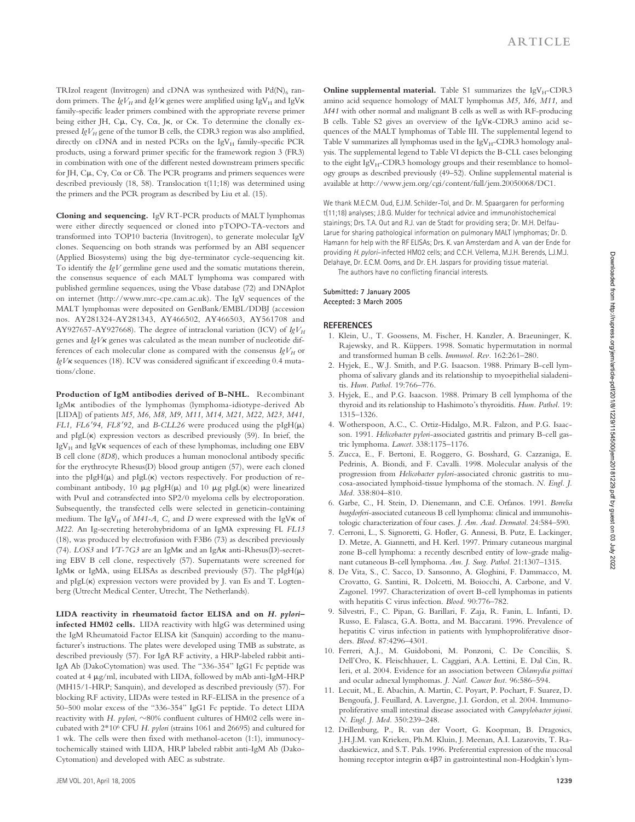TRIzol reagent (Invitrogen) and cDNA was synthesized with  $Pd(N)_{6}$  random primers. The  $IgV_H$  and  $IgV_K$  genes were amplified using  $IgV_H$  and  $IgV_K$ family-specific leader primers combined with the appropriate reverse primer being either JH, C $\mu$ , C $\gamma$ , C $\alpha$ , J $\kappa$ , or C $\kappa$ . To determine the clonally expressed  $IgV_H$  gene of the tumor B cells, the CDR3 region was also amplified, directly on cDNA and in nested PCRs on the IgV $_H$  family-specific PCR products, using a forward primer specific for the framework region 3 (FR3) in combination with one of the different nested downstream primers specific for JH,  $C\mu$ ,  $C\gamma$ ,  $C\alpha$  or  $C\delta$ . The PCR programs and primers sequences were described previously (18, 58). Translocation t(11;18) was determined using the primers and the PCR program as described by Liu et al. (15).

**Cloning and sequencing.** IgV RT-PCR products of MALT lymphomas were either directly sequenced or cloned into pTOPO-TA-vectors and transformed into TOP10 bacteria (Invitrogen), to generate molecular IgV clones. Sequencing on both strands was performed by an ABI sequencer (Applied Biosystems) using the big dye-terminator cycle-sequencing kit. To identify the *IgV* germline gene used and the somatic mutations therein, the consensus sequence of each MALT lymphoma was compared with published germline sequences, using the Vbase database (72) and DNAplot on internet (http://www.mrc-cpe.cam.ac.uk). The IgV sequences of the MALT lymphomas were deposited on GenBank/EMBL/DDBJ (accession nos. AY281324-AY281343, AY466502, AY466503, AY561708 and AY927657-AY927668). The degree of intraclonal variation (ICV) of  $IgV<sub>H</sub>$ genes and *IgV*<sub>K</sub> genes was calculated as the mean number of nucleotide differences of each molecular clone as compared with the consensus  $IgV_H$  or IgV<sub>K</sub> sequences (18). ICV was considered significant if exceeding 0.4 mutations/clone.

**Production of IgM antibodies derived of B-NHL.** Recombinant IgMK antibodies of the lymphomas (lymphoma-idiotype-derived Ab [LIDA]) of patients *M5, M6, M8, M9, M11, M14, M21, M22, M23, M41, FL1, FL6'94, FL8'92,* and *B-CLL26* were produced using the  $pIgH(\mu)$ and  $pIgL(\kappa)$  expression vectors as described previously (59). In brief, the IgV $_H$  and IgV $\kappa$  sequences of each of these lymphomas, including one EBV B cell clone (*8D8*), which produces a human monoclonal antibody specific for the erythrocyte Rhesus(D) blood group antigen (57), were each cloned into the  $pIgH(\mu)$  and  $pIgL(\kappa)$  vectors respectively. For production of recombinant antibody, 10  $\mu$ g pIgH( $\mu$ ) and 10  $\mu$ g pIgL( $\kappa$ ) were linearized with PvuI and cotransfected into SP2/0 myeloma cells by electroporation. Subsequently, the transfected cells were selected in geneticin-containing medium. The IgV<sub>H</sub> of  $M41-A$ , C, and D were expressed with the IgV $\kappa$  of *M22*. An Ig-secreting heterohybridoma of an IgM $\lambda$  expressing FL *FL13* (18), was produced by electrofusion with F3B6 (73) as described previously (74). *LOS3* and *VT-7G3* are an IgM<sub>K</sub> and an IgA<sub>K</sub> anti-Rhesus(D)-secreting EBV B cell clone, respectively (57). Supernatants were screened for IgMK or IgM $\lambda$ , using ELISAs as described previously (57). The pIgH $(\mu)$ and  $pIgL(\kappa)$  expression vectors were provided by J. van Es and T. Logtenberg (Utrecht Medical Center, Utrecht, The Netherlands).

**LIDA reactivity in rheumatoid factor ELISA and on** *H. pylori***– infected HM02 cells.** LIDA reactivity with hIgG was determined using the IgM Rheumatoid Factor ELISA kit (Sanquin) according to the manufacturer's instructions. The plates were developed using TMB as substrate, as described previously (57). For IgA RF activity, a HRP-labeled rabbit anti-IgA Ab (DakoCytomation) was used. The "336-354" IgG1 Fc peptide was coated at 4  $\mu$ g/ml, incubated with LIDA, followed by mAb anti-IgM-HRP (MH15/1-HRP; Sanquin), and developed as described previously (57). For blocking RF activity, LIDAs were tested in RF-ELISA in the presence of a 50–500 molar excess of the "336-354" IgG1 Fc peptide. To detect LIDA reactivity with *H. pylori*,  $\sim$ 80% confluent cultures of HM02 cells were incubated with 2\*106 CFU *H. pylori* (strains 1061 and 26695) and cultured for 1 wk. The cells were then fixed with methanol-aceton (1:1), immunocytochemically stained with LIDA, HRP labeled rabbit anti-IgM Ab (Dako-Cytomation) and developed with AEC as substrate.

**Online supplemental material.** Table S1 summarizes the IgV<sub>H</sub>-CDR3 amino acid sequence homology of MALT lymphomas *M5, M6, M11,* and *M41* with other normal and malignant B cells as well as with RF-producing B cells. Table S2 gives an overview of the IgVK-CDR3 amino acid sequences of the MALT lymphomas of Table III. The supplemental legend to Table V summarizes all lymphomas used in the  $IgV_H$ -CDR3 homology analysis. The supplemental legend to Table VI depicts the B-CLL cases belonging to the eight IgVH-CDR3 homology groups and their resemblance to homology groups as described previously (49–52). Online supplemental material is available at http://www.jem.org/cgi/content/full/jem.20050068/DC1.

We thank M.E.C.M. Oud, E.J.M. Schilder-Tol, and Dr. M. Spaargaren for performing t(11;18) analyses; J.B.G. Mulder for technical advice and immunohistochemical stainings; Drs. T.A. Out and R.J. van de Stadt for providing sera; Dr. M.H. Delfau-Larue for sharing pathological information on pulmonary MALT lymphomas; Dr. D. Hamann for help with the RF ELISAs; Drs. K. van Amsterdam and A. van der Ende for providing *H. pylori*–infected HM02 cells; and C.C.H. Vellema, M.J.H. Berends, L.J.M.J. Delahaye, Dr. E.C.M. Ooms, and Dr. E.H. Jaspars for providing tissue material.

The authors have no conflicting financial interests.

#### **Submitted: 7 January 2005 Accepted: 3 March 2005**

#### **REFERENCES**

- 1. Klein, U., T. Goossens, M. Fischer, H. Kanzler, A. Braeuninger, K. Rajewsky, and R. Küppers. 1998. Somatic hypermutation in normal and transformed human B cells. *Immunol. Rev.* 162:261–280.
- 2. Hyjek, E., W.J. Smith, and P.G. Isaacson. 1988. Primary B-cell lymphoma of salivary glands and its relationship to myoepithelial sialadenitis. *Hum. Pathol.* 19:766–776.
- 3. Hyjek, E., and P.G. Isaacson. 1988. Primary B cell lymphoma of the thyroid and its relationship to Hashimoto's thyroiditis. *Hum. Pathol.* 19: 1315–1326.
- 4. Wotherspoon, A.C., C. Ortiz-Hidalgo, M.R. Falzon, and P.G. Isaacson. 1991. *Helicobacter pylori*-associated gastritis and primary B-cell gastric lymphoma. *Lancet.* 338:1175–1176.
- 5. Zucca, E., F. Bertoni, E. Roggero, G. Bosshard, G. Cazzaniga, E. Pedrinis, A. Biondi, and F. Cavalli. 1998. Molecular analysis of the progression from *Helicobacter pylori*-associated chronic gastritis to mucosa-associated lymphoid-tissue lymphoma of the stomach. *N. Engl. J. Med.* 338:804–810.
- 6. Garbe, C., H. Stein, D. Dienemann, and C.E. Orfanos. 1991. *Borrelia burgdorferi*-associated cutaneous B cell lymphoma: clinical and immunohistologic characterization of four cases. *J. Am. Acad. Dermatol.* 24:584–590.
- 7. Cerroni, L., S. Signoretti, G. Hofler, G. Annessi, B. Putz, E. Lackinger, D. Metze, A. Giannetti, and H. Kerl. 1997. Primary cutaneous marginal zone B-cell lymphoma: a recently described entity of low-grade malignant cutaneous B-cell lymphoma. *Am. J. Surg. Pathol.* 21:1307–1315.
- 8. De Vita, S., C. Sacco, D. Sansonno, A. Gloghini, F. Dammacco, M. Crovatto, G. Santini, R. Dolcetti, M. Boiocchi, A. Carbone, and V. Zagonel. 1997. Characterization of overt B-cell lymphomas in patients with hepatitis C virus infection. *Blood.* 90:776–782.
- 9. Silvestri, F., C. Pipan, G. Barillari, F. Zaja, R. Fanin, L. Infanti, D. Russo, E. Falasca, G.A. Botta, and M. Baccarani. 1996. Prevalence of hepatitis C virus infection in patients with lymphoproliferative disorders. *Blood.* 87:4296–4301.
- 10. Ferreri, A.J., M. Guidoboni, M. Ponzoni, C. De Conciliis, S. Dell'Oro, K. Fleischhauer, L. Caggiari, A.A. Lettini, E. Dal Cin, R. Ieri, et al. 2004. Evidence for an association between *Chlamydia psittaci* and ocular adnexal lymphomas. *J. Natl. Cancer Inst.* 96:586–594.
- 11. Lecuit, M., E. Abachin, A. Martin, C. Poyart, P. Pochart, F. Suarez, D. Bengoufa, J. Feuillard, A. Lavergne, J.I. Gordon, et al. 2004. Immunoproliferative small intestinal disease associated with *Campylobacter jejuni*. *N. Engl. J. Med.* 350:239–248.
- 12. Drillenburg, P., R. van der Voort, G. Koopman, B. Dragosics, J.H.J.M. van Krieken, Ph.M. Kluin, J. Meenan, A.I. Lazarovits, T. Radaszkiewicz, and S.T. Pals. 1996. Preferential expression of the mucosal homing receptor integrin  $\alpha$ 4 $\beta$ 7 in gastrointestinal non-Hodgkin's lym-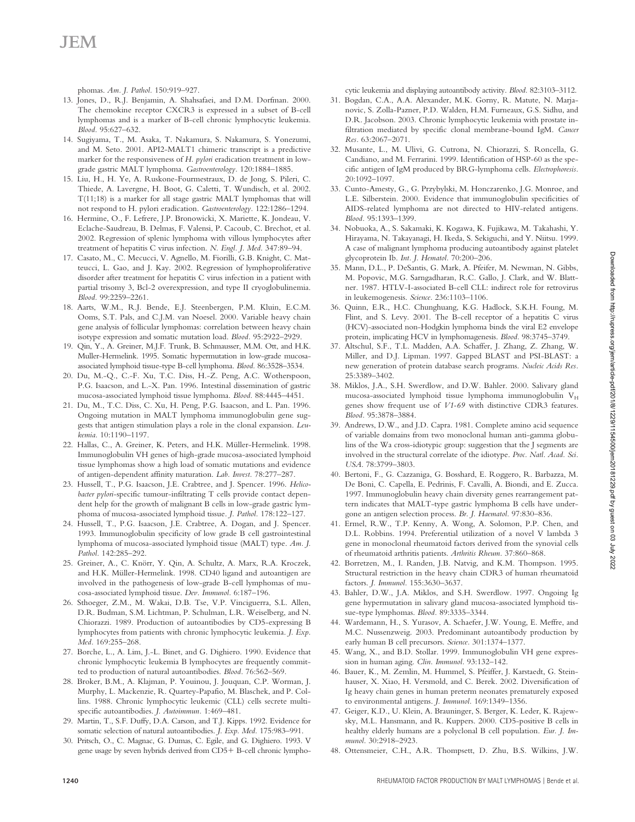phomas. *Am. J. Pathol.* 150:919–927.

- 13. Jones, D., R.J. Benjamin, A. Shahsafaei, and D.M. Dorfman. 2000. The chemokine receptor CXCR3 is expressed in a subset of B-cell lymphomas and is a marker of B-cell chronic lymphocytic leukemia. *Blood.* 95:627–632.
- 14. Sugiyama, T., M. Asaka, T. Nakamura, S. Nakamura, S. Yonezumi, and M. Seto. 2001. API2-MALT1 chimeric transcript is a predictive marker for the responsiveness of *H. pylori* eradication treatment in lowgrade gastric MALT lymphoma. *Gastroenterology.* 120:1884–1885.
- 15. Liu, H., H. Ye, A. Ruskone-Fourmestraux, D. de Jong, S. Pileri, C. Thiede, A. Lavergne, H. Boot, G. Caletti, T. Wundisch, et al. 2002. T(11;18) is a marker for all stage gastric MALT lymphomas that will not respond to H. pylori eradication. *Gastroenterology.* 122:1286–1294.
- 16. Hermine, O., F. Lefrere, J.P. Bronowicki, X. Mariette, K. Jondeau, V. Eclache-Saudreau, B. Delmas, F. Valensi, P. Cacoub, C. Brechot, et al. 2002. Regression of splenic lymphoma with villous lymphocytes after treatment of hepatitis C virus infection. *N. Engl. J. Med.* 347:89–94.
- 17. Casato, M., C. Mecucci, V. Agnello, M. Fiorilli, G.B. Knight, C. Matteucci, L. Gao, and J. Kay. 2002. Regression of lymphoproliferative disorder after treatment for hepatitis C virus infection in a patient with partial trisomy 3, Bcl-2 overexpression, and type II cryoglobulinemia. *Blood.* 99:2259–2261.
- 18. Aarts, W.M., R.J. Bende, E.J. Steenbergen, P.M. Kluin, E.C.M. Ooms, S.T. Pals, and C.J.M. van Noesel. 2000. Variable heavy chain gene analysis of follicular lymphomas: correlation between heavy chain isotype expression and somatic mutation load. *Blood.* 95:2922–2929.
- 19. Qin, Y., A. Greiner, M.J.F. Trunk, B. Schmausser, M.M. Ott, and H.K. Muller-Hermelink. 1995. Somatic hypermutation in low-grade mucosaassociated lymphoid tissue-type B-cell lymphoma. *Blood.* 86:3528–3534.
- 20. Du, M.-Q., C.-F. Xu, T.C. Diss, H.-Z. Peng, A.C. Wotherspoon, P.G. Isaacson, and L.-X. Pan. 1996. Intestinal dissemination of gastric mucosa-associated lymphoid tissue lymphoma. *Blood.* 88:4445–4451.
- 21. Du, M., T.C. Diss, C. Xu, H. Peng, P.G. Isaacson, and L. Pan. 1996. Ongoing mutation in MALT lymphoma immunoglobulin gene suggests that antigen stimulation plays a role in the clonal expansion. *Leukemia.* 10:1190–1197.
- 22. Hallas, C., A. Greiner, K. Peters, and H.K. Müller-Hermelink. 1998. Immunoglobulin VH genes of high-grade mucosa-associated lymphoid tissue lymphomas show a high load of somatic mutations and evidence of antigen-dependent affinity maturation. *Lab. Invest.* 78:277–287.
- 23. Hussell, T., P.G. Isaacson, J.E. Crabtree, and J. Spencer. 1996. *Helicobacter pylori*-specific tumour-infiltrating T cells provide contact dependent help for the growth of malignant B cells in low-grade gastric lymphoma of mucosa-associated lymphoid tissue. *J. Pathol.* 178:122–127.
- 24. Hussell, T., P.G. Isaacson, J.E. Crabtree, A. Dogan, and J. Spencer. 1993. Immunoglobulin specificity of low grade B cell gastrointestinal lymphoma of mucosa-associated lymphoid tissue (MALT) type. *Am. J. Pathol.* 142:285–292.
- 25. Greiner, A., C. Knörr, Y. Qin, A. Schultz, A. Marx, R.A. Kroczek, and H.K. Müller-Hermelink. 1998. CD40 ligand and autoantigen are involved in the pathogenesis of low-grade B-cell lymphomas of mucosa-associated lymphoid tissue. *Dev. Immunol.* 6:187–196.
- 26. Sthoeger, Z.M., M. Wakai, D.B. Tse, V.P. Vinciguerra, S.L. Allen, D.R. Budman, S.M. Lichtman, P. Schulman, L.R. Weiselberg, and N. Chiorazzi. 1989. Production of autoantibodies by CD5-expressing B lymphocytes from patients with chronic lymphocytic leukemia. *J. Exp. Med.* 169:255–268.
- 27. Borche, L., A. Lim, J.-L. Binet, and G. Dighiero. 1990. Evidence that chronic lymphocytic leukemia B lymphocytes are frequently committed to production of natural autoantibodies. *Blood.* 76:562–569.
- 28. Broker, B.M., A. Klajman, P. Youinou, J. Jouquan, C.P. Worman, J. Murphy, L. Mackenzie, R. Quartey-Papafio, M. Blaschek, and P. Collins. 1988. Chronic lymphocytic leukemic (CLL) cells secrete multispecific autoantibodies. *J. Autoimmun.* 1:469–481.
- 29. Martin, T., S.F. Duffy, D.A. Carson, and T.J. Kipps. 1992. Evidence for somatic selection of natural autoantibodies. *J. Exp. Med.* 175:983–991.
- 30. Pritsch, O., C. Magnac, G. Dumas, C. Egile, and G. Dighiero. 1993. V gene usage by seven hybrids derived from CD5+ B-cell chronic lympho-

cytic leukemia and displaying autoantibody activity. *Blood.* 82:3103–3112.

- 31. Bogdan, C.A., A.A. Alexander, M.K. Gorny, R. Matute, N. Marjanovic, S. Zolla-Pazner, P.D. Walden, H.M. Furneaux, G.S. Sidhu, and D.R. Jacobson. 2003. Chronic lymphocytic leukemia with prostate infiltration mediated by specific clonal membrane-bound IgM. *Cancer Res.* 63:2067–2071.
- 32. Musante, L., M. Ulivi, G. Cutrona, N. Chiorazzi, S. Roncella, G. Candiano, and M. Ferrarini. 1999. Identification of HSP-60 as the specific antigen of IgM produced by BRG-lymphoma cells. *Electrophoresis.* 20:1092–1097.
- 33. Cunto-Amesty, G., G. Przybylski, M. Honczarenko, J.G. Monroe, and L.E. Silberstein. 2000. Evidence that immunoglobulin specificities of AIDS-related lymphoma are not directed to HIV-related antigens. *Blood.* 95:1393–1399.
- 34. Nobuoka, A., S. Sakamaki, K. Kogawa, K. Fujikawa, M. Takahashi, Y. Hirayama, N. Takayanagi, H. Ikeda, S. Sekiguchi, and Y. Niitsu. 1999. A case of malignant lymphoma producing autoantibody against platelet glycoprotein Ib. *Int. J. Hematol.* 70:200–206.
- 35. Mann, D.L., P. DeSantis, G. Mark, A. Pfeifer, M. Newman, N. Gibbs, M. Popovic, M.G. Sarngadharan, R.C. Gallo, J. Clark, and W. Blattner. 1987. HTLV-I-associated B-cell CLL: indirect role for retrovirus in leukemogenesis. *Science.* 236:1103–1106.
- 36. Quinn, E.R., H.C. Chunghuang, K.G. Hadlock, S.K.H. Foung, M. Flint, and S. Levy. 2001. The B-cell receptor of a hepatitis C virus (HCV)-associated non-Hodgkin lymphoma binds the viral E2 envelope protein, implicating HCV in lymphomagenesis. *Blood.* 98:3745–3749.
- 37. Altschul, S.F., T.L. Madden, A.A. Schaffer, J. Zhang, Z. Zhang, W. Miller, and D.J. Lipman. 1997. Gapped BLAST and PSI-BLAST: a new generation of protein database search programs. *Nucleic Acids Res.* 25:3389–3402.
- 38. Miklos, J.A., S.H. Swerdlow, and D.W. Bahler. 2000. Salivary gland mucosa-associated lymphoid tissue lymphoma immunoglobulin VH genes show frequent use of *V1-69* with distinctive CDR3 features. *Blood.* 95:3878–3884.
- 39. Andrews, D.W., and J.D. Capra. 1981. Complete amino acid sequence of variable domains from two monoclonal human anti-gamma globulins of the Wa cross-idiotypic group: suggestion that the J segments are involved in the structural correlate of the idiotype. *Proc. Natl. Acad. Sci. USA*. 78:3799–3803.
- 40. Bertoni, F., G. Cazzaniga, G. Bosshard, E. Roggero, R. Barbazza, M. De Boni, C. Capella, E. Pedrinis, F. Cavalli, A. Biondi, and E. Zucca. 1997. Immunoglobulin heavy chain diversity genes rearrangement pattern indicates that MALT-type gastric lymphoma B cells have undergone an antigen selection process. *Br. J. Haematol.* 97:830–836.
- 41. Ermel, R.W., T.P. Kenny, A. Wong, A. Solomon, P.P. Chen, and D.L. Robbins. 1994. Preferential utilization of a novel V lambda 3 gene in monoclonal rheumatoid factors derived from the synovial cells of rheumatoid arthritis patients. *Arthritis Rheum.* 37:860–868.
- 42. Borretzen, M., I. Randen, J.B. Natvig, and K.M. Thompson. 1995. Structural restriction in the heavy chain CDR3 of human rheumatoid factors. *J. Immunol.* 155:3630–3637.
- 43. Bahler, D.W., J.A. Miklos, and S.H. Swerdlow. 1997. Ongoing Ig gene hypermutation in salivary gland mucosa-associated lymphoid tissue-type lymphomas. *Blood.* 89:3335–3344.
- 44. Wardemann, H., S. Yurasov, A. Schaefer, J.W. Young, E. Meffre, and M.C. Nussenzweig. 2003. Predominant autoantibody production by early human B cell precursors. *Science.* 301:1374–1377.
- 45. Wang, X., and B.D. Stollar. 1999. Immunoglobulin VH gene expression in human aging. *Clin. Immunol.* 93:132–142.
- 46. Bauer, K., M. Zemlin, M. Hummel, S. Pfeiffer, J. Karstaedt, G. Steinhauser, X. Xiao, H. Versmold, and C. Berek. 2002. Diversification of Ig heavy chain genes in human preterm neonates prematurely exposed to environmental antigens. *J. Immunol.* 169:1349–1356.
- 47. Geiger, K.D., U. Klein, A. Brauninger, S. Berger, K. Leder, K. Rajewsky, M.L. Hansmann, and R. Kuppers. 2000. CD5-positive B cells in healthy elderly humans are a polyclonal B cell population. *Eur. J. Immunol.* 30:2918–2923.
- 48. Ottensmeier, C.H., A.R. Thompsett, D. Zhu, B.S. Wilkins, J.W.